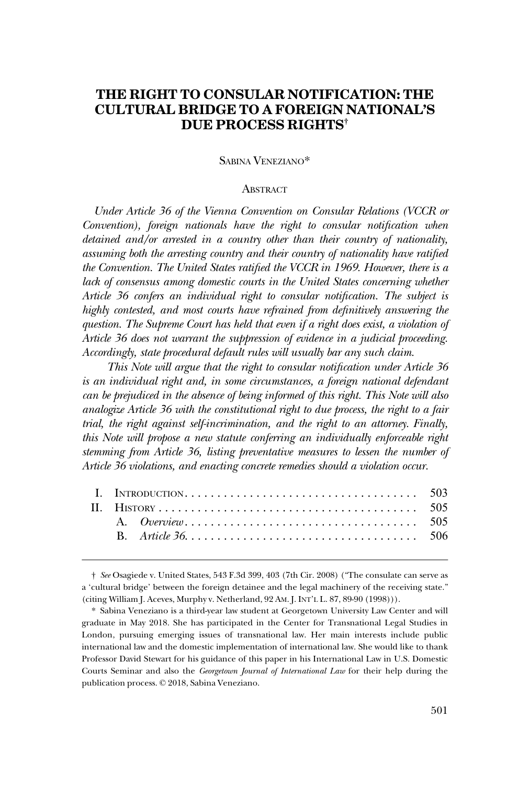# **THE RIGHT TO CONSULAR NOTIFICATION: THE CULTURAL BRIDGE TO A FOREIGN NATIONAL'S DUE PROCESS RIGHTS†**

## SABINA VENEZIANO\*

### **ABSTRACT**

*Under Article 36 of the Vienna Convention on Consular Relations (VCCR or Convention), foreign nationals have the right to consular notification when detained and/or arrested in a country other than their country of nationality, assuming both the arresting country and their country of nationality have ratified the Convention. The United States ratified the VCCR in 1969. However, there is a lack of consensus among domestic courts in the United States concerning whether Article 36 confers an individual right to consular notification. The subject is highly contested, and most courts have refrained from definitively answering the question. The Supreme Court has held that even if a right does exist, a violation of Article 36 does not warrant the suppression of evidence in a judicial proceeding. Accordingly, state procedural default rules will usually bar any such claim.* 

*This Note will argue that the right to consular notification under Article 36 is an individual right and, in some circumstances, a foreign national defendant can be prejudiced in the absence of being informed of this right. This Note will also analogize Article 36 with the constitutional right to due process, the right to a fair trial, the right against self-incrimination, and the right to an attorney. Finally, this Note will propose a new statute conferring an individually enforceable right stemming from Article 36, listing preventative measures to lessen the number of Article 36 violations, and enacting concrete remedies should a violation occur.* 

<sup>†</sup> *See* Osagiede v. United States, 543 F.3d 399, 403 (7th Cir. 2008) ("The consulate can serve as a 'cultural bridge' between the foreign detainee and the legal machinery of the receiving state." (citing William J. Aceves, Murphy v. Netherland, 92 AM. J. INT'L L. 87, 89-90 (1998))).

<sup>\*</sup> Sabina Veneziano is a third-year law student at Georgetown University Law Center and will graduate in May 2018. She has participated in the Center for Transnational Legal Studies in London, pursuing emerging issues of transnational law. Her main interests include public international law and the domestic implementation of international law. She would like to thank Professor David Stewart for his guidance of this paper in his International Law in U.S. Domestic Courts Seminar and also the *Georgetown Journal of International Law* for their help during the publication process. © 2018, Sabina Veneziano.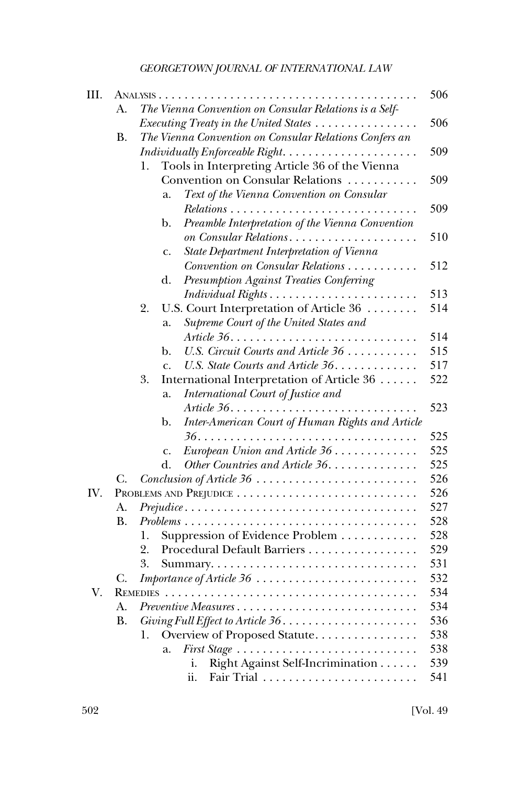| III. |           |                                                                                                | 506 |
|------|-----------|------------------------------------------------------------------------------------------------|-----|
|      | А.        | The Vienna Convention on Consular Relations is a Self-                                         |     |
|      |           | Executing Treaty in the United States                                                          | 506 |
|      | <b>B.</b> | The Vienna Convention on Consular Relations Confers an                                         |     |
|      |           | Individually Enforceable Right                                                                 | 509 |
|      |           | Tools in Interpreting Article 36 of the Vienna<br>1.                                           |     |
|      |           | Convention on Consular Relations                                                               | 509 |
|      |           | Text of the Vienna Convention on Consular<br>a.                                                |     |
|      |           |                                                                                                | 509 |
|      |           | Preamble Interpretation of the Vienna Convention<br>$\mathbf{b}$ .                             |     |
|      |           | on Consular Relations                                                                          | 510 |
|      |           | State Department Interpretation of Vienna<br>c.                                                |     |
|      |           | Convention on Consular Relations                                                               | 512 |
|      |           | <b>Presumption Against Treaties Conferring</b><br>d.                                           |     |
|      |           |                                                                                                | 513 |
|      |           | U.S. Court Interpretation of Article 36<br>2.                                                  | 514 |
|      |           | Supreme Court of the United States and<br>a.                                                   |     |
|      |           |                                                                                                | 514 |
|      |           | U.S. Circuit Courts and Article 36<br>b.                                                       | 515 |
|      |           | U.S. State Courts and Article 36.<br>$\mathsf{C}$ .                                            | 517 |
|      |           | 3.<br>International Interpretation of Article 36                                               | 522 |
|      |           | International Court of Justice and<br>a.                                                       |     |
|      |           | Article $36. \ldots \ldots \ldots$                                                             | 523 |
|      |           | Inter-American Court of Human Rights and Article<br>b.                                         |     |
|      |           |                                                                                                | 525 |
|      |           | European Union and Article 36<br>$\mathbf{C}$ .                                                | 525 |
|      |           | Other Countries and Article 36.<br>d.                                                          | 525 |
|      | C.        | Conclusion of Article 36                                                                       | 526 |
| IV.  |           |                                                                                                | 526 |
|      | А.        | $Prejudice \dots \dots \dots \dots \dots \dots \dots \dots \dots \dots \dots \dots \dots$      | 527 |
|      | <b>B.</b> | $Problems \ldots \ldots \ldots \ldots \ldots \ldots \ldots \ldots \ldots \ldots \ldots \ldots$ | 528 |
|      |           | Suppression of Evidence Problem<br>1.                                                          | 528 |
|      |           | Procedural Default Barriers<br>2.                                                              | 529 |
|      |           | 3.                                                                                             | 531 |
|      |           |                                                                                                | 532 |
| V.   |           |                                                                                                | 534 |
|      | A.        | Preventive Measures                                                                            | 534 |
|      | <b>B.</b> |                                                                                                | 536 |
|      |           | Overview of Proposed Statute<br>1.                                                             | 538 |
|      |           | a.                                                                                             | 538 |
|      |           | Right Against Self-Incrimination<br>i.                                                         | 539 |
|      |           | ii.                                                                                            | 541 |
|      |           |                                                                                                |     |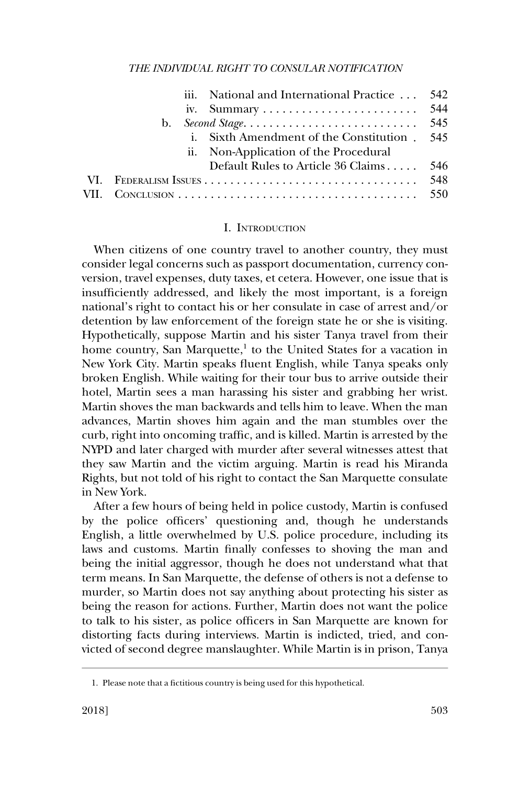<span id="page-2-0"></span>

|    | iii. National and International Practice  542 |     |
|----|-----------------------------------------------|-----|
|    |                                               |     |
| b. |                                               |     |
|    | i. Sixth Amendment of the Constitution . 545  |     |
|    | ii. Non-Application of the Procedural         |     |
|    | Default Rules to Article 36 Claims 546        |     |
|    |                                               | 548 |
|    |                                               |     |

#### I. INTRODUCTION

When citizens of one country travel to another country, they must consider legal concerns such as passport documentation, currency conversion, travel expenses, duty taxes, et cetera. However, one issue that is insufficiently addressed, and likely the most important, is a foreign national's right to contact his or her consulate in case of arrest and/or detention by law enforcement of the foreign state he or she is visiting. Hypothetically, suppose Martin and his sister Tanya travel from their home country, San Marquette, $<sup>1</sup>$  to the United States for a vacation in</sup> New York City. Martin speaks fluent English, while Tanya speaks only broken English. While waiting for their tour bus to arrive outside their hotel, Martin sees a man harassing his sister and grabbing her wrist. Martin shoves the man backwards and tells him to leave. When the man advances, Martin shoves him again and the man stumbles over the curb, right into oncoming traffic, and is killed. Martin is arrested by the NYPD and later charged with murder after several witnesses attest that they saw Martin and the victim arguing. Martin is read his Miranda Rights, but not told of his right to contact the San Marquette consulate in New York.

After a few hours of being held in police custody, Martin is confused by the police officers' questioning and, though he understands English, a little overwhelmed by U.S. police procedure, including its laws and customs. Martin finally confesses to shoving the man and being the initial aggressor, though he does not understand what that term means. In San Marquette, the defense of others is not a defense to murder, so Martin does not say anything about protecting his sister as being the reason for actions. Further, Martin does not want the police to talk to his sister, as police officers in San Marquette are known for distorting facts during interviews. Martin is indicted, tried, and convicted of second degree manslaughter. While Martin is in prison, Tanya

<sup>1.</sup> Please note that a fictitious country is being used for this hypothetical.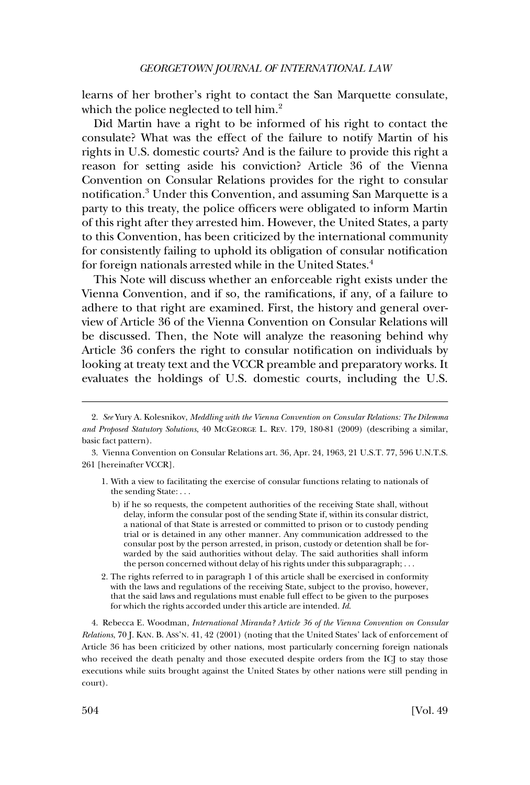learns of her brother's right to contact the San Marquette consulate, which the police neglected to tell him.<sup>2</sup>

Did Martin have a right to be informed of his right to contact the consulate? What was the effect of the failure to notify Martin of his rights in U.S. domestic courts? And is the failure to provide this right a reason for setting aside his conviction? Article 36 of the Vienna Convention on Consular Relations provides for the right to consular notification.3 Under this Convention, and assuming San Marquette is a party to this treaty, the police officers were obligated to inform Martin of this right after they arrested him. However, the United States, a party to this Convention, has been criticized by the international community for consistently failing to uphold its obligation of consular notification for foreign nationals arrested while in the United States.<sup>4</sup>

This Note will discuss whether an enforceable right exists under the Vienna Convention, and if so, the ramifications, if any, of a failure to adhere to that right are examined. First, the history and general overview of Article 36 of the Vienna Convention on Consular Relations will be discussed. Then, the Note will analyze the reasoning behind why Article 36 confers the right to consular notification on individuals by looking at treaty text and the VCCR preamble and preparatory works. It evaluates the holdings of U.S. domestic courts, including the U.S.

- 1. With a view to facilitating the exercise of consular functions relating to nationals of the sending State: . . .
	- b) if he so requests, the competent authorities of the receiving State shall, without delay, inform the consular post of the sending State if, within its consular district, a national of that State is arrested or committed to prison or to custody pending trial or is detained in any other manner. Any communication addressed to the consular post by the person arrested, in prison, custody or detention shall be forwarded by the said authorities without delay. The said authorities shall inform the person concerned without delay of his rights under this subparagraph; . . .
- 2. The rights referred to in paragraph 1 of this article shall be exercised in conformity with the laws and regulations of the receiving State, subject to the proviso, however, that the said laws and regulations must enable full effect to be given to the purposes for which the rights accorded under this article are intended. *Id*.

4. Rebecca E. Woodman, *International Miranda? Article 36 of the Vienna Convention on Consular Relations*, 70 J. KAN. B. ASS'N. 41, 42 (2001) (noting that the United States' lack of enforcement of Article 36 has been criticized by other nations, most particularly concerning foreign nationals who received the death penalty and those executed despite orders from the ICJ to stay those executions while suits brought against the United States by other nations were still pending in court).

<sup>2.</sup> *See* Yury A. Kolesnikov, *Meddling with the Vienna Convention on Consular Relations: The Dilemma and Proposed Statutory Solutions*, 40 MCGEORGE L. REV. 179, 180-81 (2009) (describing a similar, basic fact pattern).

<sup>3.</sup> Vienna Convention on Consular Relations art. 36, Apr. 24, 1963, 21 U.S.T. 77, 596 U.N.T.S. 261 [hereinafter VCCR].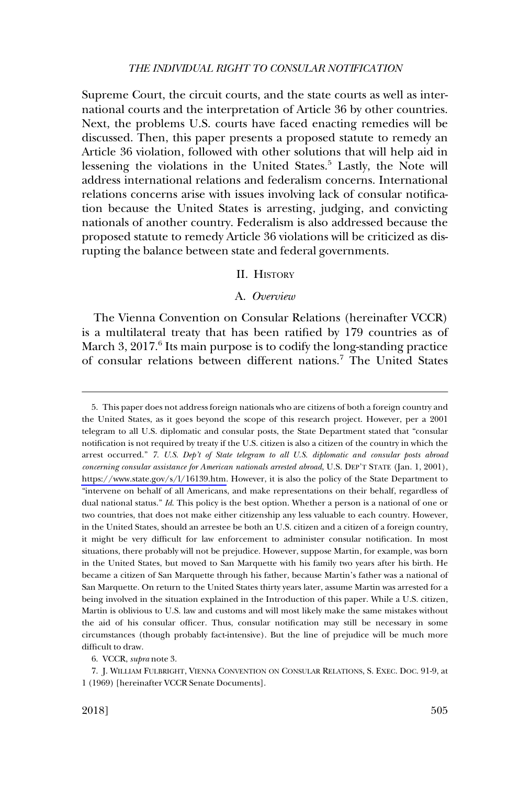<span id="page-4-0"></span>Supreme Court, the circuit courts, and the state courts as well as international courts and the interpretation of Article 36 by other countries. Next, the problems U.S. courts have faced enacting remedies will be discussed. Then, this paper presents a proposed statute to remedy an Article 36 violation, followed with other solutions that will help aid in lessening the violations in the United States.<sup>5</sup> Lastly, the Note will address international relations and federalism concerns. International relations concerns arise with issues involving lack of consular notification because the United States is arresting, judging, and convicting nationals of another country. Federalism is also addressed because the proposed statute to remedy Article 36 violations will be criticized as disrupting the balance between state and federal governments.

### II. HISTORY

## A. *Overview*

The Vienna Convention on Consular Relations (hereinafter VCCR) is a multilateral treaty that has been ratified by 179 countries as of March 3,  $2017<sup>6</sup>$  Its main purpose is to codify the long-standing practice of consular relations between different nations.7 The United States

6. VCCR, *supra* note 3.

This paper does not address foreign nationals who are citizens of both a foreign country and 5. the United States, as it goes beyond the scope of this research project. However, per a 2001 telegram to all U.S. diplomatic and consular posts, the State Department stated that "consular notification is not required by treaty if the U.S. citizen is also a citizen of the country in which the arrest occurred." *7. U.S. Dep't of State telegram to all U.S. diplomatic and consular posts abroad concerning consular assistance for American nationals arrested abroad*, U.S. DEP'T STATE (Jan. 1, 2001), [https://www.state.gov/s/l/16139.htm.](https://www.state.gov/s/l/16139.htm) However, it is also the policy of the State Department to "intervene on behalf of all Americans, and make representations on their behalf, regardless of dual national status." *Id*. This policy is the best option. Whether a person is a national of one or two countries, that does not make either citizenship any less valuable to each country. However, in the United States, should an arrestee be both an U.S. citizen and a citizen of a foreign country, it might be very difficult for law enforcement to administer consular notification. In most situations, there probably will not be prejudice. However, suppose Martin, for example, was born in the United States, but moved to San Marquette with his family two years after his birth. He became a citizen of San Marquette through his father, because Martin's father was a national of San Marquette. On return to the United States thirty years later, assume Martin was arrested for a being involved in the situation explained in the Introduction of this paper. While a U.S. citizen, Martin is oblivious to U.S. law and customs and will most likely make the same mistakes without the aid of his consular officer. Thus, consular notification may still be necessary in some circumstances (though probably fact-intensive). But the line of prejudice will be much more difficult to draw.

<sup>7.</sup> J. WILLIAM FULBRIGHT, VIENNA CONVENTION ON CONSULAR RELATIONS, S. EXEC. DOC. 91-9, at 1 (1969) [hereinafter VCCR Senate Documents].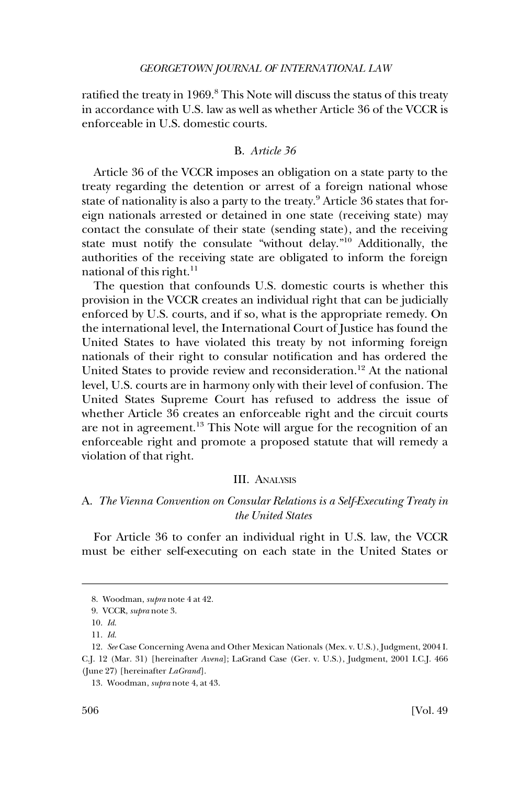<span id="page-5-0"></span>ratified the treaty in 1969.<sup>8</sup> This Note will discuss the status of this treaty in accordance with U.S. law as well as whether Article 36 of the VCCR is enforceable in U.S. domestic courts.

## B. *Article 36*

Article 36 of the VCCR imposes an obligation on a state party to the treaty regarding the detention or arrest of a foreign national whose state of nationality is also a party to the treaty.<sup>9</sup> Article 36 states that foreign nationals arrested or detained in one state (receiving state) may contact the consulate of their state (sending state), and the receiving state must notify the consulate "without delay."10 Additionally, the authorities of the receiving state are obligated to inform the foreign national of this right. $^{11}$ 

The question that confounds U.S. domestic courts is whether this provision in the VCCR creates an individual right that can be judicially enforced by U.S. courts, and if so, what is the appropriate remedy. On the international level, the International Court of Justice has found the United States to have violated this treaty by not informing foreign nationals of their right to consular notification and has ordered the United States to provide review and reconsideration.<sup>12</sup> At the national level, U.S. courts are in harmony only with their level of confusion. The United States Supreme Court has refused to address the issue of whether Article 36 creates an enforceable right and the circuit courts are not in agreement.<sup>13</sup> This Note will argue for the recognition of an enforceable right and promote a proposed statute that will remedy a violation of that right.

### III. ANALYSIS

## A. *The Vienna Convention on Consular Relations is a Self-Executing Treaty in the United States*

For Article 36 to confer an individual right in U.S. law, the VCCR must be either self-executing on each state in the United States or

<sup>8.</sup> Woodman, *supra* note 4 at 42.

<sup>9.</sup> VCCR, *supra* note 3.

<sup>10.</sup> *Id*.

<sup>11.</sup> *Id*.

<sup>12.</sup> *See* Case Concerning Avena and Other Mexican Nationals (Mex. v. U.S.), Judgment, 2004 I. C.J. 12 (Mar. 31) [hereinafter *Avena*]; LaGrand Case (Ger. v. U.S.), Judgment, 2001 I.C.J. 466 (June 27) [hereinafter *LaGrand*].

<sup>13.</sup> Woodman, *supra* note 4, at 43.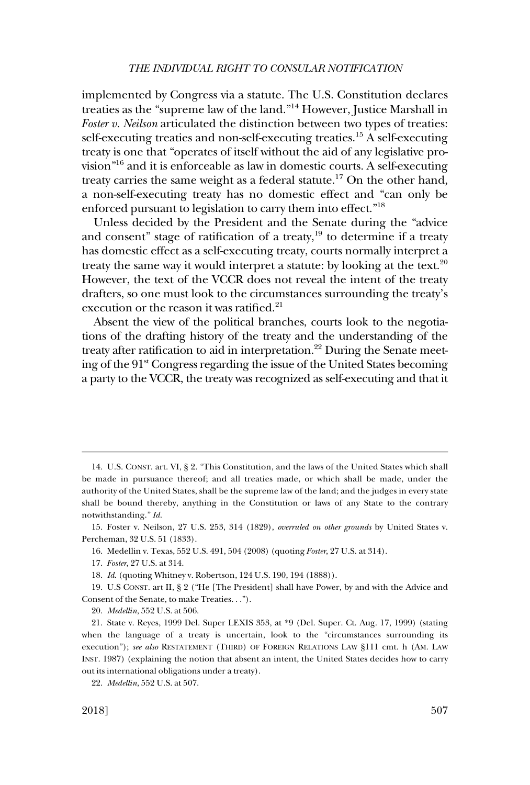implemented by Congress via a statute. The U.S. Constitution declares treaties as the "supreme law of the land."14 However, Justice Marshall in *Foster v. Neilson* articulated the distinction between two types of treaties: self-executing treaties and non-self-executing treaties.15 A self-executing treaty is one that "operates of itself without the aid of any legislative provision"16 and it is enforceable as law in domestic courts. A self-executing treaty carries the same weight as a federal statute.<sup>17</sup> On the other hand, a non-self-executing treaty has no domestic effect and "can only be enforced pursuant to legislation to carry them into effect."18

Unless decided by the President and the Senate during the "advice and consent" stage of ratification of a treaty, $19$  to determine if a treaty has domestic effect as a self-executing treaty, courts normally interpret a treaty the same way it would interpret a statute: by looking at the text.<sup>20</sup> However, the text of the VCCR does not reveal the intent of the treaty drafters, so one must look to the circumstances surrounding the treaty's execution or the reason it was ratified.<sup>21</sup>

Absent the view of the political branches, courts look to the negotiations of the drafting history of the treaty and the understanding of the treaty after ratification to aid in interpretation.<sup>22</sup> During the Senate meeting of the 91<sup>st</sup> Congress regarding the issue of the United States becoming a party to the VCCR, the treaty was recognized as self-executing and that it

14. U.S. CONST. art. VI, § 2. "This Constitution, and the laws of the United States which shall be made in pursuance thereof; and all treaties made, or which shall be made, under the authority of the United States, shall be the supreme law of the land; and the judges in every state shall be bound thereby, anything in the Constitution or laws of any State to the contrary notwithstanding." *Id*.

15. Foster v. Neilson, 27 U.S. 253, 314 (1829), *overruled on other grounds* by United States v. Percheman, 32 U.S. 51 (1833).

16. Medellin v. Texas, 552 U.S. 491, 504 (2008) (quoting *Foster*, 27 U.S. at 314).

18. *Id*. (quoting Whitney v. Robertson, 124 U.S. 190, 194 (1888)).

19. U.S CONST. art II, § 2 ("He [The President] shall have Power, by and with the Advice and Consent of the Senate, to make Treaties. . .").

20. *Medellin*, 552 U.S. at 506.

21. State v. Reyes, 1999 Del. Super LEXIS 353, at \*9 (Del. Super. Ct. Aug. 17, 1999) (stating when the language of a treaty is uncertain, look to the "circumstances surrounding its execution"); *see also* RESTATEMENT (THIRD) OF FOREIGN RELATIONS LAW §111 cmt. h (AM. LAW INST. 1987) (explaining the notion that absent an intent, the United States decides how to carry out its international obligations under a treaty).

22. *Medellin*, 552 U.S. at 507.

<sup>17.</sup> *Foster*, 27 U.S. at 314.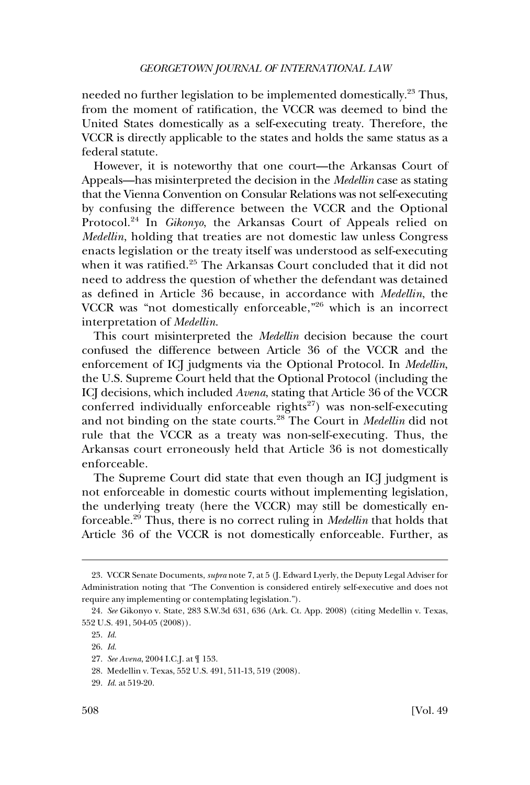needed no further legislation to be implemented domestically.<sup>23</sup> Thus, from the moment of ratification, the VCCR was deemed to bind the United States domestically as a self-executing treaty. Therefore, the VCCR is directly applicable to the states and holds the same status as a federal statute.

However, it is noteworthy that one court—the Arkansas Court of Appeals—has misinterpreted the decision in the *Medellin* case as stating that the Vienna Convention on Consular Relations was not self-executing by confusing the difference between the VCCR and the Optional Protocol.24 In *Gikonyo*, the Arkansas Court of Appeals relied on *Medellin*, holding that treaties are not domestic law unless Congress enacts legislation or the treaty itself was understood as self-executing when it was ratified.<sup>25</sup> The Arkansas Court concluded that it did not need to address the question of whether the defendant was detained as defined in Article 36 because, in accordance with *Medellin*, the VCCR was "not domestically enforceable,"26 which is an incorrect interpretation of *Medellin*.

This court misinterpreted the *Medellin* decision because the court confused the difference between Article 36 of the VCCR and the enforcement of ICJ judgments via the Optional Protocol. In *Medellin*, the U.S. Supreme Court held that the Optional Protocol (including the ICJ decisions, which included *Avena*, stating that Article 36 of the VCCR conferred individually enforceable rights<sup>27</sup>) was non-self-executing and not binding on the state courts.28 The Court in *Medellin* did not rule that the VCCR as a treaty was non-self-executing. Thus, the Arkansas court erroneously held that Article 36 is not domestically enforceable.

The Supreme Court did state that even though an ICJ judgment is not enforceable in domestic courts without implementing legislation, the underlying treaty (here the VCCR) may still be domestically enforceable.29 Thus, there is no correct ruling in *Medellin* that holds that Article 36 of the VCCR is not domestically enforceable. Further, as

<sup>23.</sup> VCCR Senate Documents, *supra* note 7, at 5 (J. Edward Lyerly, the Deputy Legal Adviser for Administration noting that "The Convention is considered entirely self-executive and does not require any implementing or contemplating legislation.").

<sup>24.</sup> *See* Gikonyo v. State, 283 S.W.3d 631, 636 (Ark. Ct. App. 2008) (citing Medellin v. Texas, 552 U.S. 491, 504-05 (2008)).

<sup>25.</sup> *Id*.

<sup>26.</sup> *Id*.

<sup>27.</sup> *See Avena*, 2004 I.C.J. at ¶ 153.

<sup>28.</sup> Medellin v. Texas, 552 U.S. 491, 511-13, 519 (2008).

<sup>29.</sup> *Id*. at 519-20.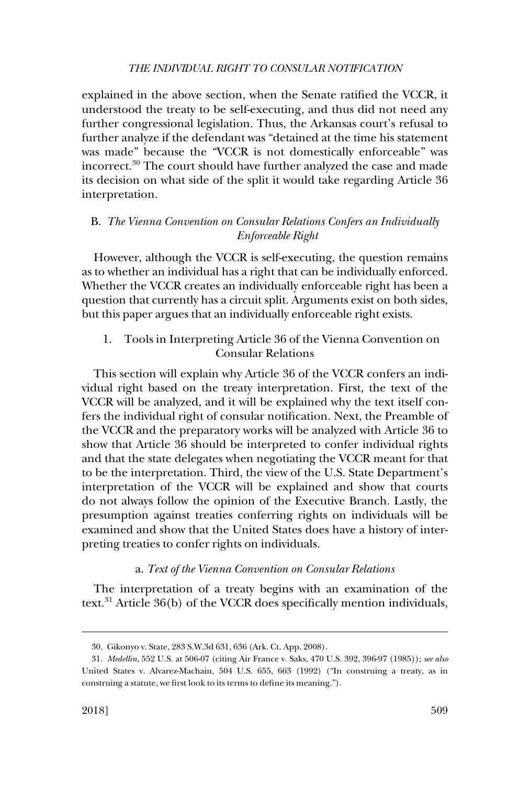<span id="page-8-0"></span>explained in the above section, when the Senate ratified the VCCR, it understood the treaty to be self-executing, and thus did not need any further congressional legislation. Thus, the Arkansas court's refusal to further analyze if the defendant was "detained at the time his statement was made" because the "VCCR is not domestically enforceable" was incorrect.30 The court should have further analyzed the case and made its decision on what side of the split it would take regarding Article 36 interpretation.

## B. *The Vienna Convention on Consular Relations Confers an Individually Enforceable Right*

However, although the VCCR is self-executing, the question remains as to whether an individual has a right that can be individually enforced. Whether the VCCR creates an individually enforceable right has been a question that currently has a circuit split. Arguments exist on both sides, but this paper argues that an individually enforceable right exists.

1. Tools in Interpreting Article 36 of the Vienna Convention on Consular Relations

This section will explain why Article 36 of the VCCR confers an individual right based on the treaty interpretation. First, the text of the VCCR will be analyzed, and it will be explained why the text itself confers the individual right of consular notification. Next, the Preamble of the VCCR and the preparatory works will be analyzed with Article 36 to show that Article 36 should be interpreted to confer individual rights and that the state delegates when negotiating the VCCR meant for that to be the interpretation. Third, the view of the U.S. State Department's interpretation of the VCCR will be explained and show that courts do not always follow the opinion of the Executive Branch. Lastly, the presumption against treaties conferring rights on individuals will be examined and show that the United States does have a history of interpreting treaties to confer rights on individuals.

### a. *Text of the Vienna Convention on Consular Relations*

The interpretation of a treaty begins with an examination of the text. $31$  Article 36(b) of the VCCR does specifically mention individuals,

<sup>30.</sup> Gikonyo v. State, 283 S.W.3d 631, 636 (Ark. Ct. App. 2008).

<sup>31.</sup> *Medellin*, 552 U.S. at 506-07 (citing Air France v. Saks, 470 U.S. 392, 396-97 (1985)); *see also*  United States v. Alvarez-Machain, 504 U.S. 655, 663 (1992) ("In construing a treaty, as in construing a statute, we first look to its terms to define its meaning.").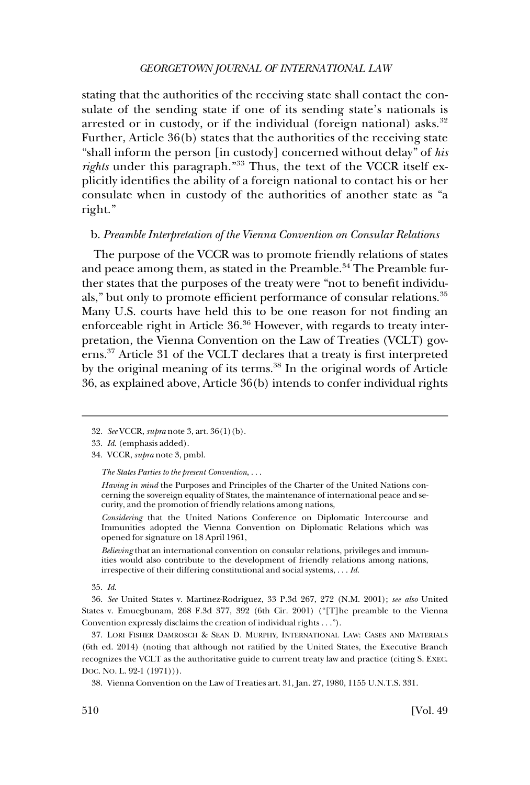### *GEORGETOWN JOURNAL OF INTERNATIONAL LAW*

<span id="page-9-0"></span>stating that the authorities of the receiving state shall contact the consulate of the sending state if one of its sending state's nationals is arrested or in custody, or if the individual (foreign national) asks. $32$ Further, Article 36(b) states that the authorities of the receiving state "shall inform the person [in custody] concerned without delay" of *his rights* under this paragraph."33 Thus, the text of the VCCR itself explicitly identifies the ability of a foreign national to contact his or her consulate when in custody of the authorities of another state as "a right."

## b. *Preamble Interpretation of the Vienna Convention on Consular Relations*

The purpose of the VCCR was to promote friendly relations of states and peace among them, as stated in the Preamble.<sup>34</sup> The Preamble further states that the purposes of the treaty were "not to benefit individuals," but only to promote efficient performance of consular relations.<sup>35</sup> Many U.S. courts have held this to be one reason for not finding an enforceable right in Article 36.36 However, with regards to treaty interpretation, the Vienna Convention on the Law of Treaties (VCLT) governs.37 Article 31 of the VCLT declares that a treaty is first interpreted by the original meaning of its terms.<sup>38</sup> In the original words of Article 36, as explained above, Article 36(b) intends to confer individual rights

*The States Parties to the present Convention*, . . .

*Having in mind* the Purposes and Principles of the Charter of the United Nations concerning the sovereign equality of States, the maintenance of international peace and security, and the promotion of friendly relations among nations,

*Considering* that the United Nations Conference on Diplomatic Intercourse and Immunities adopted the Vienna Convention on Diplomatic Relations which was opened for signature on 18 April 1961,

*Believing* that an international convention on consular relations, privileges and immunities would also contribute to the development of friendly relations among nations, irrespective of their differing constitutional and social systems, . . . *Id*.

35. *Id*.

36. *See* United States v. Martinez-Rodriguez, 33 P.3d 267, 272 (N.M. 2001); *see also* United States v. Emuegbunam, 268 F.3d 377, 392 (6th Cir. 2001) ("[T]he preamble to the Vienna Convention expressly disclaims the creation of individual rights . . .").

37. LORI FISHER DAMROSCH & SEAN D. MURPHY, INTERNATIONAL LAW: CASES AND MATERIALS (6th ed. 2014) (noting that although not ratified by the United States, the Executive Branch recognizes the VCLT as the authoritative guide to current treaty law and practice (citing S. EXEC. DOC. NO. L. 92-1 (1971))).

38. Vienna Convention on the Law of Treaties art. 31, Jan. 27, 1980, 1155 U.N.T.S. 331.

<sup>32.</sup> *See* VCCR, *supra* note 3, art. 36(1)(b).

<sup>33.</sup> *Id*. (emphasis added).

<sup>34.</sup> VCCR, *supra* note 3, pmbl.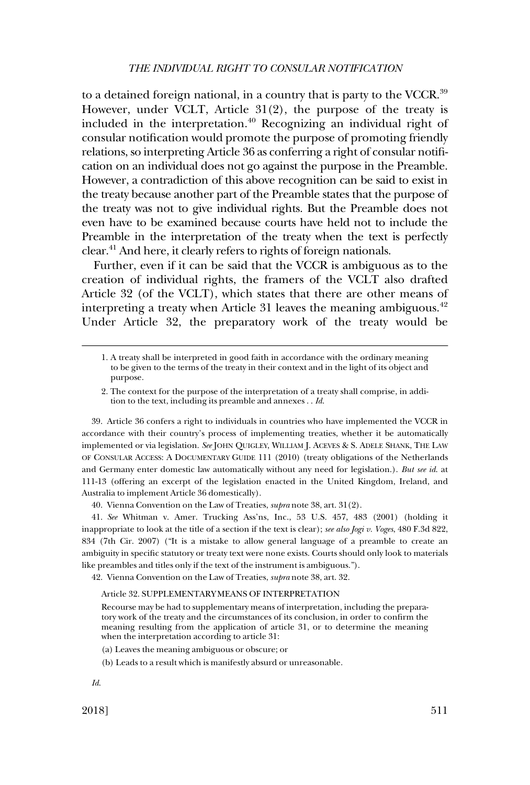to a detained foreign national, in a country that is party to the VCCR.<sup>39</sup> However, under VCLT, Article 31(2), the purpose of the treaty is included in the interpretation.40 Recognizing an individual right of consular notification would promote the purpose of promoting friendly relations, so interpreting Article 36 as conferring a right of consular notification on an individual does not go against the purpose in the Preamble. However, a contradiction of this above recognition can be said to exist in the treaty because another part of the Preamble states that the purpose of the treaty was not to give individual rights. But the Preamble does not even have to be examined because courts have held not to include the Preamble in the interpretation of the treaty when the text is perfectly clear.41 And here, it clearly refers to rights of foreign nationals.

Further, even if it can be said that the VCCR is ambiguous as to the creation of individual rights, the framers of the VCLT also drafted Article 32 (of the VCLT), which states that there are other means of interpreting a treaty when Article 31 leaves the meaning ambiguous. $42$ Under Article 32, the preparatory work of the treaty would be

- 1. A treaty shall be interpreted in good faith in accordance with the ordinary meaning to be given to the terms of the treaty in their context and in the light of its object and purpose.
- 2. The context for the purpose of the interpretation of a treaty shall comprise, in addition to the text, including its preamble and annexes . . *Id*.

39. Article 36 confers a right to individuals in countries who have implemented the VCCR in accordance with their country's process of implementing treaties, whether it be automatically implemented or via legislation. *See* JOHN QUIGLEY, WILLIAM J. ACEVES & S. ADELE SHANK, THE LAW OF CONSULAR ACCESS: A DOCUMENTARY GUIDE 111 (2010) (treaty obligations of the Netherlands and Germany enter domestic law automatically without any need for legislation.). *But see id*. at 111-13 (offering an excerpt of the legislation enacted in the United Kingdom, Ireland, and Australia to implement Article 36 domestically).

40. Vienna Convention on the Law of Treaties, *supra* note 38, art. 31(2).

41. *See* Whitman v. Amer. Trucking Ass'ns, Inc., 53 U.S. 457, 483 (2001) (holding it inappropriate to look at the title of a section if the text is clear); *see also Jogi v. Voges*, 480 F.3d 822, 834 (7th Cir. 2007) ("It is a mistake to allow general language of a preamble to create an ambiguity in specific statutory or treaty text were none exists. Courts should only look to materials like preambles and titles only if the text of the instrument is ambiguous.").

42. Vienna Convention on the Law of Treaties, *supra* note 38, art. 32.

#### Article 32. SUPPLEMENTARY MEANS OF INTERPRETATION

Recourse may be had to supplementary means of interpretation, including the preparatory work of the treaty and the circumstances of its conclusion, in order to confirm the meaning resulting from the application of article 31, or to determine the meaning when the interpretation according to article 31:

- (a) Leaves the meaning ambiguous or obscure; or
- (b) Leads to a result which is manifestly absurd or unreasonable.

2018] 511

*Id*.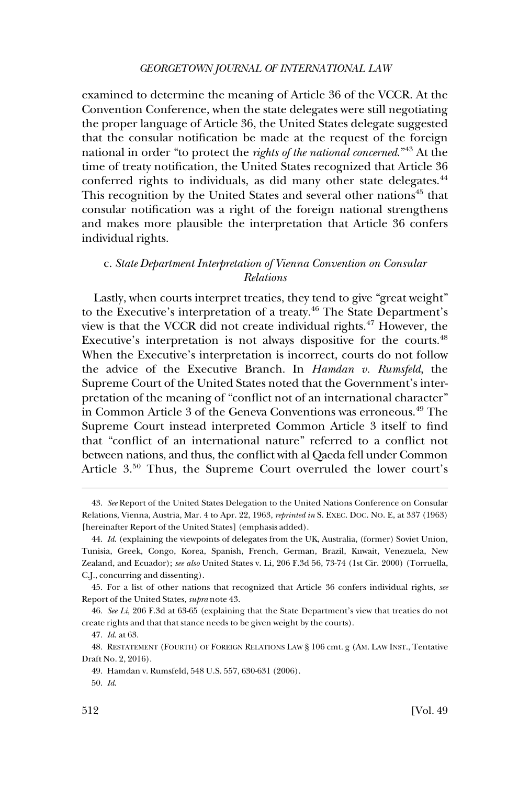### *GEORGETOWN JOURNAL OF INTERNATIONAL LAW*

<span id="page-11-0"></span>examined to determine the meaning of Article 36 of the VCCR. At the Convention Conference, when the state delegates were still negotiating the proper language of Article 36, the United States delegate suggested that the consular notification be made at the request of the foreign national in order "to protect the *rights of the national concerned*."43 At the time of treaty notification, the United States recognized that Article 36 conferred rights to individuals, as did many other state delegates.<sup>44</sup> This recognition by the United States and several other nations<sup>45</sup> that consular notification was a right of the foreign national strengthens and makes more plausible the interpretation that Article 36 confers individual rights.

## c. *State Department Interpretation of Vienna Convention on Consular Relations*

Lastly, when courts interpret treaties, they tend to give "great weight" to the Executive's interpretation of a treaty.46 The State Department's view is that the VCCR did not create individual rights.47 However, the Executive's interpretation is not always dispositive for the courts.<sup>48</sup> When the Executive's interpretation is incorrect, courts do not follow the advice of the Executive Branch. In *Hamdan v. Rumsfeld*, the Supreme Court of the United States noted that the Government's interpretation of the meaning of "conflict not of an international character" in Common Article 3 of the Geneva Conventions was erroneous.<sup>49</sup> The Supreme Court instead interpreted Common Article 3 itself to find that "conflict of an international nature" referred to a conflict not between nations, and thus, the conflict with al Qaeda fell under Common Article 3.<sup>50</sup> Thus, the Supreme Court overruled the lower court's

<sup>43.</sup> *See* Report of the United States Delegation to the United Nations Conference on Consular Relations, Vienna, Austria, Mar. 4 to Apr. 22, 1963, *reprinted in* S. EXEC. DOC. NO. E, at 337 (1963) [hereinafter Report of the United States] (emphasis added).

<sup>44.</sup> *Id*. (explaining the viewpoints of delegates from the UK, Australia, (former) Soviet Union, Tunisia, Greek, Congo, Korea, Spanish, French, German, Brazil, Kuwait, Venezuela, New Zealand, and Ecuador); *see also* United States v. Li, 206 F.3d 56, 73-74 (1st Cir. 2000) (Torruella, C.J., concurring and dissenting).

<sup>45.</sup> For a list of other nations that recognized that Article 36 confers individual rights, *see*  Report of the United States, *supra* note 43.

<sup>46.</sup> *See Li*, 206 F.3d at 63-65 (explaining that the State Department's view that treaties do not create rights and that that stance needs to be given weight by the courts).

<sup>47.</sup> *Id*. at 63.

<sup>48.</sup> RESTATEMENT (FOURTH) OF FOREIGN RELATIONS LAW § 106 cmt. g (AM. LAW INST., Tentative Draft No. 2, 2016).

<sup>49.</sup> Hamdan v. Rumsfeld, 548 U.S. 557, 630-631 (2006).

<sup>50.</sup> *Id*.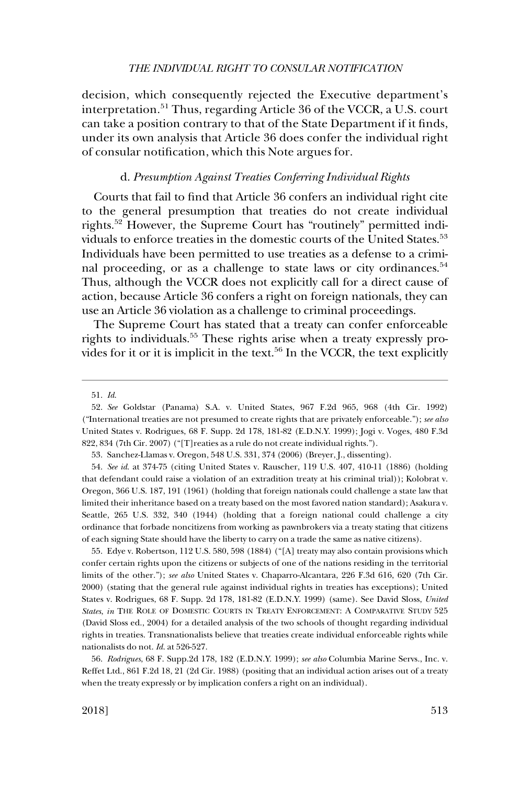<span id="page-12-0"></span>decision, which consequently rejected the Executive department's interpretation.<sup>51</sup> Thus, regarding Article 36 of the VCCR, a U.S. court can take a position contrary to that of the State Department if it finds, under its own analysis that Article 36 does confer the individual right of consular notification, which this Note argues for.

### d. *Presumption Against Treaties Conferring Individual Rights*

Courts that fail to find that Article 36 confers an individual right cite to the general presumption that treaties do not create individual rights.52 However, the Supreme Court has "routinely" permitted individuals to enforce treaties in the domestic courts of the United States.<sup>53</sup> Individuals have been permitted to use treaties as a defense to a criminal proceeding, or as a challenge to state laws or city ordinances.<sup>54</sup> Thus, although the VCCR does not explicitly call for a direct cause of action, because Article 36 confers a right on foreign nationals, they can use an Article 36 violation as a challenge to criminal proceedings.

The Supreme Court has stated that a treaty can confer enforceable rights to individuals.<sup>55</sup> These rights arise when a treaty expressly provides for it or it is implicit in the text.<sup>56</sup> In the VCCR, the text explicitly

53. Sanchez-Llamas v. Oregon, 548 U.S. 331, 374 (2006) (Breyer, J., dissenting).

54. *See id*. at 374-75 (citing United States v. Rauscher, 119 U.S. 407, 410-11 (1886) (holding that defendant could raise a violation of an extradition treaty at his criminal trial)); Kolobrat v. Oregon, 366 U.S. 187, 191 (1961) (holding that foreign nationals could challenge a state law that limited their inheritance based on a treaty based on the most favored nation standard); Asakura v. Seattle, 265 U.S. 332, 340 (1944) (holding that a foreign national could challenge a city ordinance that forbade noncitizens from working as pawnbrokers via a treaty stating that citizens of each signing State should have the liberty to carry on a trade the same as native citizens).

55. Edye v. Robertson, 112 U.S. 580, 598 (1884) ("[A] treaty may also contain provisions which confer certain rights upon the citizens or subjects of one of the nations residing in the territorial limits of the other."); *see also* United States v. Chaparro-Alcantara, 226 F.3d 616, 620 (7th Cir. 2000) (stating that the general rule against individual rights in treaties has exceptions); United States v. Rodrigues, 68 F. Supp. 2d 178, 181-82 (E.D.N.Y. 1999) (same). See David Sloss, *United States*, *in* THE ROLE OF DOMESTIC COURTS IN TREATY ENFORCEMENT: A COMPARATIVE STUDY 525 (David Sloss ed., 2004) for a detailed analysis of the two schools of thought regarding individual rights in treaties. Transnationalists believe that treaties create individual enforceable rights while nationalists do not. *Id*. at 526-527.

56. *Rodrigues*, 68 F. Supp.2d 178, 182 (E.D.N.Y. 1999); *see also* Columbia Marine Servs., Inc. v. Reffet Ltd., 861 F.2d 18, 21 (2d Cir. 1988) (positing that an individual action arises out of a treaty when the treaty expressly or by implication confers a right on an individual).

<sup>51.</sup> *Id*.

<sup>52.</sup> *See* Goldstar (Panama) S.A. v. United States, 967 F.2d 965, 968 (4th Cir. 1992) ("International treaties are not presumed to create rights that are privately enforceable."); *see also*  United States v. Rodrigues, 68 F. Supp. 2d 178, 181-82 (E.D.N.Y. 1999); Jogi v. Voges, 480 F.3d 822, 834 (7th Cir. 2007) ("[T]reaties as a rule do not create individual rights.").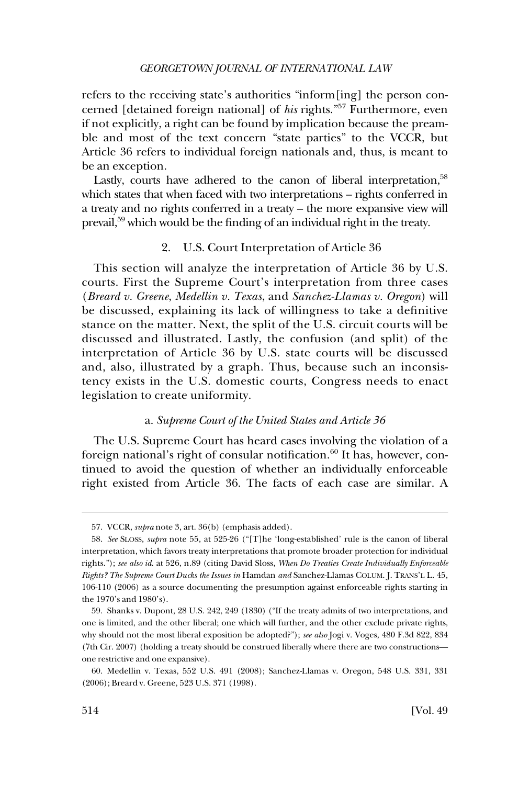### *GEORGETOWN JOURNAL OF INTERNATIONAL LAW*

<span id="page-13-0"></span>refers to the receiving state's authorities "inform[ing] the person concerned [detained foreign national] of *his* rights."57 Furthermore, even if not explicitly, a right can be found by implication because the preamble and most of the text concern "state parties" to the VCCR, but Article 36 refers to individual foreign nationals and, thus, is meant to be an exception.

Lastly, courts have adhered to the canon of liberal interpretation,<sup>58</sup> which states that when faced with two interpretations – rights conferred in a treaty and no rights conferred in a treaty – the more expansive view will prevail,59 which would be the finding of an individual right in the treaty.

## 2. U.S. Court Interpretation of Article 36

This section will analyze the interpretation of Article 36 by U.S. courts. First the Supreme Court's interpretation from three cases (*Breard v. Greene*, *Medellin v. Texas*, and *Sanchez-Llamas v. Oregon*) will be discussed, explaining its lack of willingness to take a definitive stance on the matter. Next, the split of the U.S. circuit courts will be discussed and illustrated. Lastly, the confusion (and split) of the interpretation of Article 36 by U.S. state courts will be discussed and, also, illustrated by a graph. Thus, because such an inconsistency exists in the U.S. domestic courts, Congress needs to enact legislation to create uniformity.

## a. *Supreme Court of the United States and Article 36*

The U.S. Supreme Court has heard cases involving the violation of a foreign national's right of consular notification. $60$  It has, however, continued to avoid the question of whether an individually enforceable right existed from Article 36. The facts of each case are similar. A

<sup>57.</sup> VCCR, *supra* note 3, art. 36(b) (emphasis added).

<sup>58.</sup> *See* SLOSS, *supra* note 55, at 525-26 ("[T]he 'long-established' rule is the canon of liberal interpretation, which favors treaty interpretations that promote broader protection for individual rights."); *see also id*. at 526, n.89 (citing David Sloss, *When Do Treaties Create Individually Enforceable Rights? The Supreme Court Ducks the Issues in* Hamdan *and* Sanchez-Llamas COLUM. J. TRANS'L L. 45, 106-110 (2006) as a source documenting the presumption against enforceable rights starting in the 1970's and 1980's).

<sup>59.</sup> Shanks v. Dupont, 28 U.S. 242, 249 (1830) ("If the treaty admits of two interpretations, and one is limited, and the other liberal; one which will further, and the other exclude private rights, why should not the most liberal exposition be adopted?"); *see also* Jogi v. Voges, 480 F.3d 822, 834 (7th Cir. 2007) (holding a treaty should be construed liberally where there are two constructions one restrictive and one expansive).

<sup>60.</sup> Medellin v. Texas, 552 U.S. 491 (2008); Sanchez-Llamas v. Oregon, 548 U.S. 331, 331 (2006); Breard v. Greene, 523 U.S. 371 (1998).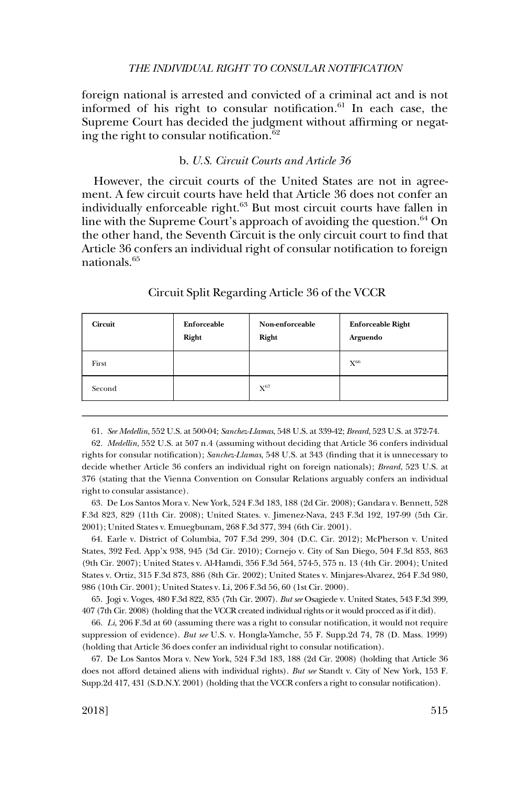<span id="page-14-0"></span>foreign national is arrested and convicted of a criminal act and is not informed of his right to consular notification.<sup>61</sup> In each case, the Supreme Court has decided the judgment without affirming or negating the right to consular notification.<sup>62</sup>

## b. *U.S. Circuit Courts and Article 36*

However, the circuit courts of the United States are not in agreement. A few circuit courts have held that Article 36 does not confer an individually enforceable right.<sup>63</sup> But most circuit courts have fallen in line with the Supreme Court's approach of avoiding the question. $64$  On the other hand, the Seventh Circuit is the only circuit court to find that Article 36 confers an individual right of consular notification to foreign nationals.65

| <b>Circuit</b> | Enforceable<br>Right | Non-enforceable<br>Right | <b>Enforceable Right</b><br>Arguendo |
|----------------|----------------------|--------------------------|--------------------------------------|
| First          |                      |                          | $\mathrm{X}^{66}$                    |
| Second         |                      | $X^{67}$                 |                                      |

#### Circuit Split Regarding Article 36 of the VCCR

61. *See Medellin*, 552 U.S. at 500-04; *Sanchez-Llamas*, 548 U.S. at 339-42; *Breard*, 523 U.S. at 372-74.

62. *Medellin*, 552 U.S. at 507 n.4 (assuming without deciding that Article 36 confers individual rights for consular notification); *Sanchez-Llamas*, 548 U.S. at 343 (finding that it is unnecessary to decide whether Article 36 confers an individual right on foreign nationals); *Breard*, 523 U.S. at 376 (stating that the Vienna Convention on Consular Relations arguably confers an individual right to consular assistance).

63. De Los Santos Mora v. New York, 524 F.3d 183, 188 (2d Cir. 2008); Gandara v. Bennett, 528 F.3d 823, 829 (11th Cir. 2008); United States. v. Jimenez-Nava, 243 F.3d 192, 197-99 (5th Cir. 2001); United States v. Emuegbunam, 268 F.3d 377, 394 (6th Cir. 2001).

64. Earle v. District of Columbia, 707 F.3d 299, 304 (D.C. Cir. 2012); McPherson v. United States, 392 Fed. App'x 938, 945 (3d Cir. 2010); Cornejo v. City of San Diego, 504 F.3d 853, 863 (9th Cir. 2007); United States v. Al-Hamdi, 356 F.3d 564, 574-5, 575 n. 13 (4th Cir. 2004); United States v. Ortiz, 315 F.3d 873, 886 (8th Cir. 2002); United States v. Minjares-Alvarez, 264 F.3d 980, 986 (10th Cir. 2001); United States v. Li, 206 F.3d 56, 60 (1st Cir. 2000).

65. Jogi v. Voges, 480 F.3d 822, 835 (7th Cir. 2007). *But see* Osagiede v. United States, 543 F.3d 399, 407 (7th Cir. 2008) (holding that the VCCR created individual rights or it would procced as if it did).

66. *Li*, 206 F.3d at 60 (assuming there was a right to consular notification, it would not require suppression of evidence). *But see* U.S. v. Hongla-Yamche, 55 F. Supp.2d 74, 78 (D. Mass. 1999) (holding that Article 36 does confer an individual right to consular notification).

67. De Los Santos Mora v. New York, 524 F.3d 183, 188 (2d Cir. 2008) (holding that Article 36 does not afford detained aliens with individual rights). *But see* Standt v. City of New York, 153 F. Supp.2d 417, 431 (S.D.N.Y. 2001) (holding that the VCCR confers a right to consular notification).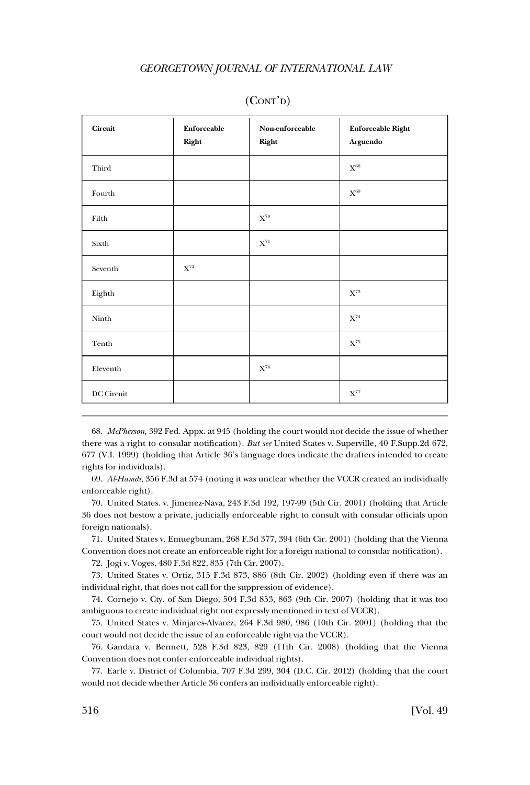### *GEORGETOWN JOURNAL OF INTERNATIONAL LAW*

| Circuit    | Enforceable<br>Right | Non-enforceable<br>Right | <b>Enforceable Right</b><br>Arguendo |
|------------|----------------------|--------------------------|--------------------------------------|
| Third      |                      |                          | $\mathbf{X}^{68}$                    |
| Fourth     |                      |                          | $X^{69}$                             |
| Fifth      |                      | $\mathbf{X}^{\text{70}}$ |                                      |
| Sixth      |                      | $\mathbf{X}^{71}$        |                                      |
| Seventh    | $\mathbf{X}^{72}$    |                          |                                      |
| Eighth     |                      |                          | $\mathbf{X}^{73}$                    |
| Ninth      |                      |                          | $\mathbf{X}^{74}$                    |
| Tenth      |                      |                          | $\mathbf{X}^{75}$                    |
| Eleventh   |                      | $\mathbf{X}^{76}$        |                                      |
| DC Circuit |                      |                          | $\mathbf{X}^{77}$                    |

## (CONT'D)

68. *McPherson*, 392 Fed. Appx. at 945 (holding the court would not decide the issue of whether there was a right to consular notification). *But see* United States v. Superville, 40 F.Supp.2d 672, 677 (V.I. 1999) (holding that Article 36's language does indicate the drafters intended to create rights for individuals).

69. *Al-Hamdi*, 356 F.3d at 574 (noting it was unclear whether the VCCR created an individually enforceable right).

70. United States. v. Jimenez-Nava, 243 F.3d 192, 197-99 (5th Cir. 2001) (holding that Article 36 does not bestow a private, judicially enforceable right to consult with consular officials upon foreign nationals).

71. United States v. Emuegbunam, 268 F.3d 377, 394 (6th Cir. 2001) (holding that the Vienna Convention does not create an enforceable right for a foreign national to consular notification).

72. Jogi v. Voges, 480 F.3d 822, 835 (7th Cir. 2007).

73. United States v. Ortiz, 315 F.3d 873, 886 (8th Cir. 2002) (holding even if there was an individual right, that does not call for the suppression of evidence).

74. Cornejo v. Cty. of San Diego, 504 F.3d 853, 863 (9th Cir. 2007) (holding that it was too ambiguous to create individual right not expressly mentioned in text of VCCR).

75. United States v. Minjares-Alvarez, 264 F.3d 980, 986 (10th Cir. 2001) (holding that the court would not decide the issue of an enforceable right via the VCCR).

76. Gandara v. Bennett, 528 F.3d 823, 829 (11th Cir. 2008) (holding that the Vienna Convention does not confer enforceable individual rights).

77. Earle v. District of Columbia, 707 F.3d 299, 304 (D.C. Cir. 2012) (holding that the court would not decide whether Article 36 confers an individually enforceable right).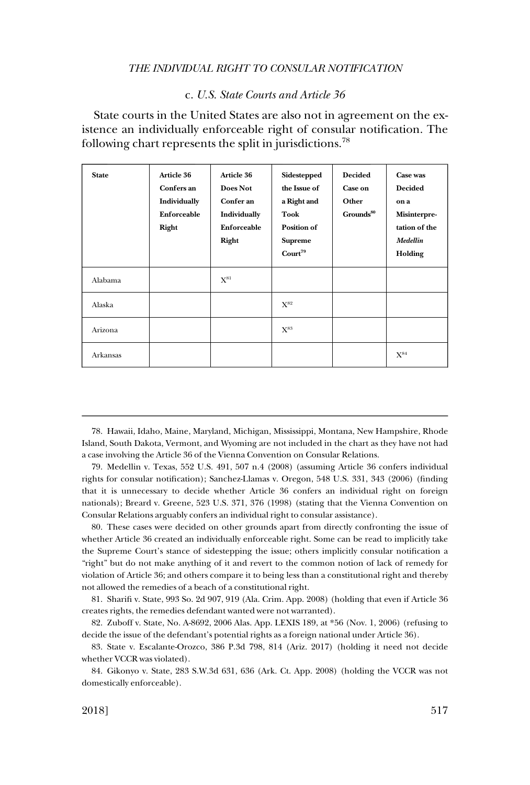#### c. *U.S. State Courts and Article 36*

<span id="page-16-0"></span>State courts in the United States are also not in agreement on the existence an individually enforceable right of consular notification. The following chart represents the split in jurisdictions.<sup>78</sup>

| <b>State</b> | <b>Article 36</b><br>Confers an<br>Individually<br>Enforceable<br>Right | Article 36<br>Does Not<br>Confer an<br>Individually<br>Enforceable<br>Right | Sidestepped<br>the Issue of<br>a Right and<br>Took<br><b>Position of</b><br><b>Supreme</b><br>Count <sup>79</sup> | <b>Decided</b><br><b>Case on</b><br>Other<br>$G$ rounds $^{80}$ | Case was<br><b>Decided</b><br>on a<br>Misinterpre-<br>tation of the<br>Medellin<br>Holding |
|--------------|-------------------------------------------------------------------------|-----------------------------------------------------------------------------|-------------------------------------------------------------------------------------------------------------------|-----------------------------------------------------------------|--------------------------------------------------------------------------------------------|
| Alabama      |                                                                         | $\mathrm{X}^\mathrm{81}$                                                    |                                                                                                                   |                                                                 |                                                                                            |
| Alaska       |                                                                         |                                                                             | $X^{82}$                                                                                                          |                                                                 |                                                                                            |
| Arizona      |                                                                         |                                                                             | $\mathrm{X}^\mathrm{83}$                                                                                          |                                                                 |                                                                                            |
| Arkansas     |                                                                         |                                                                             |                                                                                                                   |                                                                 | $\mathrm{X}^\mathrm{84}$                                                                   |

78. Hawaii, Idaho, Maine, Maryland, Michigan, Mississippi, Montana, New Hampshire, Rhode Island, South Dakota, Vermont, and Wyoming are not included in the chart as they have not had a case involving the Article 36 of the Vienna Convention on Consular Relations.

79. Medellin v. Texas, 552 U.S. 491, 507 n.4 (2008) (assuming Article 36 confers individual rights for consular notification); Sanchez-Llamas v. Oregon, 548 U.S. 331, 343 (2006) (finding that it is unnecessary to decide whether Article 36 confers an individual right on foreign nationals); Breard v. Greene, 523 U.S. 371, 376 (1998) (stating that the Vienna Convention on Consular Relations arguably confers an individual right to consular assistance).

80. These cases were decided on other grounds apart from directly confronting the issue of whether Article 36 created an individually enforceable right. Some can be read to implicitly take the Supreme Court's stance of sidestepping the issue; others implicitly consular notification a "right" but do not make anything of it and revert to the common notion of lack of remedy for violation of Article 36; and others compare it to being less than a constitutional right and thereby not allowed the remedies of a beach of a constitutional right.

81. Sharifi v. State, 993 So. 2d 907, 919 (Ala. Crim. App. 2008) (holding that even if Article 36 creates rights, the remedies defendant wanted were not warranted).

82. Zuboff v. State, No. A-8692, 2006 Alas. App. LEXIS 189, at \*56 (Nov. 1, 2006) (refusing to decide the issue of the defendant's potential rights as a foreign national under Article 36).

83. State v. Escalante-Orozco, 386 P.3d 798, 814 (Ariz. 2017) (holding it need not decide whether VCCR was violated).

84. Gikonyo v. State, 283 S.W.3d 631, 636 (Ark. Ct. App. 2008) (holding the VCCR was not domestically enforceable).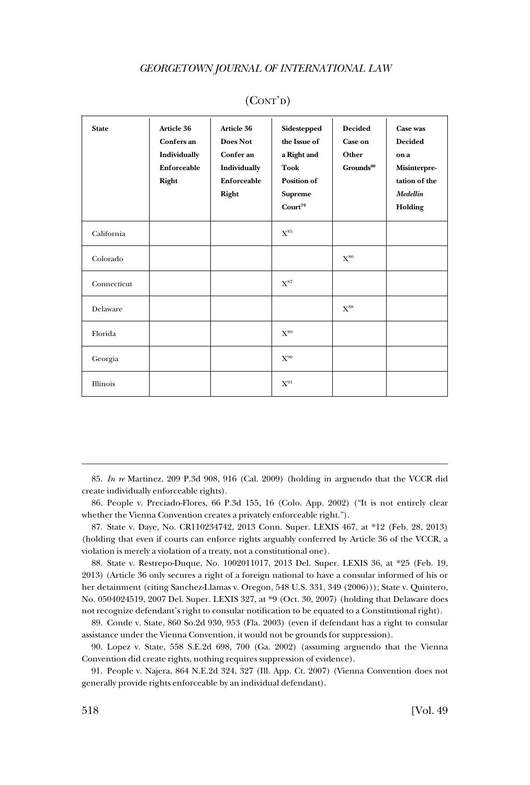#### *GEORGETOWN JOURNAL OF INTERNATIONAL LAW*

| <b>State</b> | Article 36<br>Confers an<br>Individually<br>Enforceable<br>Right | Article 36<br>Does Not<br>Confer an<br>Individually<br><b>Enforceable</b><br>Right | Sidestepped<br>the Issue of<br>a Right and<br><b>Took</b><br>Position of<br><b>Supreme</b><br>$\rm{Count}^{79}$ | <b>Decided</b><br>Case on<br>Other<br>Grounds <sup>80</sup> | Case was<br><b>Decided</b><br>on a<br>Misinterpre-<br>tation of the<br>Medellin<br>Holding |
|--------------|------------------------------------------------------------------|------------------------------------------------------------------------------------|-----------------------------------------------------------------------------------------------------------------|-------------------------------------------------------------|--------------------------------------------------------------------------------------------|
| California   |                                                                  |                                                                                    | $X^{85}$                                                                                                        |                                                             |                                                                                            |
| Colorado     |                                                                  |                                                                                    |                                                                                                                 | $X^{86}$                                                    |                                                                                            |
| Connecticut  |                                                                  |                                                                                    | $X^{87}$                                                                                                        |                                                             |                                                                                            |
| Delaware     |                                                                  |                                                                                    |                                                                                                                 | $X^{88}$                                                    |                                                                                            |
| Florida      |                                                                  |                                                                                    | $X^{89}$                                                                                                        |                                                             |                                                                                            |
| Georgia      |                                                                  |                                                                                    | $X^{90}$                                                                                                        |                                                             |                                                                                            |
| Illinois     |                                                                  |                                                                                    | $X^{91}$                                                                                                        |                                                             |                                                                                            |

## (CONT'D)

85. *In re* Martinez, 209 P.3d 908, 916 (Cal. 2009) (holding in arguendo that the VCCR did create individually enforceable rights).

86. People v. Preciado-Flores, 66 P.3d 155, 16 (Colo. App. 2002) ("It is not entirely clear whether the Vienna Convention creates a privately enforceable right.").

87. State v. Daye, No. CR110234742, 2013 Conn. Super. LEXIS 467, at \*12 (Feb. 28, 2013) (holding that even if courts can enforce rights arguably conferred by Article 36 of the VCCR, a violation is merely a violation of a treaty, not a constitutional one).

88. State v. Restrepo-Duque, No. 1002011017, 2013 Del. Super. LEXIS 36, at \*25 (Feb. 19, 2013) (Article 36 only secures a right of a foreign national to have a consular informed of his or her detainment (citing Sanchez-Llamas v. Oregon, 548 U.S. 331, 349 (2006))); State v. Quintero, No. 0504024519, 2007 Del. Super. LEXIS 327, at \*9 (Oct. 30, 2007) (holding that Delaware does not recognize defendant's right to consular notification to be equated to a Constitutional right).

89. Conde v. State, 860 So.2d 930, 953 (Fla. 2003) (even if defendant has a right to consular assistance under the Vienna Convention, it would not be grounds for suppression).

90. Lopez v. State, 558 S.E.2d 698, 700 (Ga. 2002) (assuming arguendo that the Vienna Convention did create rights, nothing requires suppression of evidence).

91. People v. Najera, 864 N.E.2d 324, 327 (Ill. App. Ct. 2007) (Vienna Convention does not generally provide rights enforceable by an individual defendant).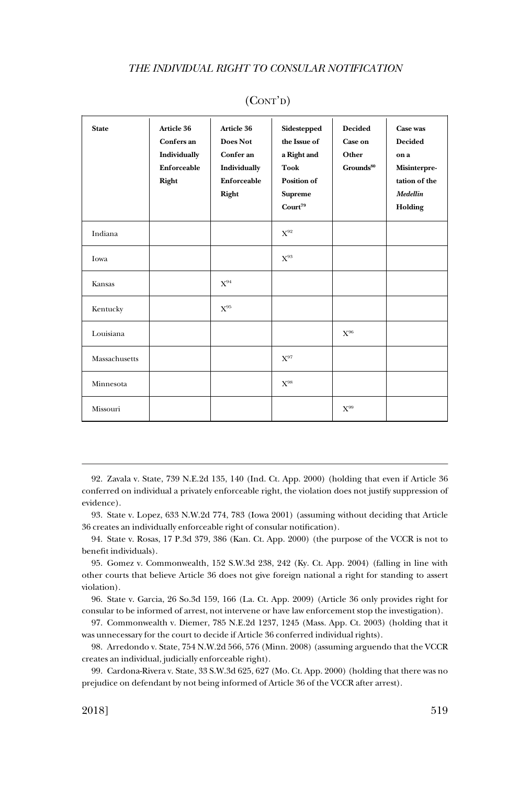| <b>State</b>  | Article 36<br>Confers an<br>Individually<br>Enforceable<br>Right | Article 36<br>Does Not<br>Confer an<br>Individually<br><b>Enforceable</b><br>Right | Sidestepped<br>the Issue of<br>a Right and<br><b>Took</b><br><b>Position of</b><br><b>Supreme</b><br>$\text{Court}^{79}$ | <b>Decided</b><br><b>Case on</b><br>Other<br>$G$ rounds $^{80}$ | Case was<br><b>Decided</b><br>on a<br>Misinterpre-<br>tation of the<br>Medellin<br>Holding |
|---------------|------------------------------------------------------------------|------------------------------------------------------------------------------------|--------------------------------------------------------------------------------------------------------------------------|-----------------------------------------------------------------|--------------------------------------------------------------------------------------------|
| Indiana       |                                                                  |                                                                                    | $X^{92}$                                                                                                                 |                                                                 |                                                                                            |
| Iowa          |                                                                  |                                                                                    | $X^{93}$                                                                                                                 |                                                                 |                                                                                            |
| Kansas        |                                                                  | $X^{94}$                                                                           |                                                                                                                          |                                                                 |                                                                                            |
| Kentucky      |                                                                  | $X^{95}$                                                                           |                                                                                                                          |                                                                 |                                                                                            |
| Louisiana     |                                                                  |                                                                                    |                                                                                                                          | $X^{96}$                                                        |                                                                                            |
| Massachusetts |                                                                  |                                                                                    | $X^{97}$                                                                                                                 |                                                                 |                                                                                            |
| Minnesota     |                                                                  |                                                                                    | $X^{98}$                                                                                                                 |                                                                 |                                                                                            |
| Missouri      |                                                                  |                                                                                    |                                                                                                                          | $X^{99}$                                                        |                                                                                            |

92. Zavala v. State, 739 N.E.2d 135, 140 (Ind. Ct. App. 2000) (holding that even if Article 36 conferred on individual a privately enforceable right, the violation does not justify suppression of evidence).

93. State v. Lopez, 633 N.W.2d 774, 783 (Iowa 2001) (assuming without deciding that Article 36 creates an individually enforceable right of consular notification).

94. State v. Rosas, 17 P.3d 379, 386 (Kan. Ct. App. 2000) (the purpose of the VCCR is not to benefit individuals).

95. Gomez v. Commonwealth, 152 S.W.3d 238, 242 (Ky. Ct. App. 2004) (falling in line with other courts that believe Article 36 does not give foreign national a right for standing to assert violation).

96. State v. Garcia, 26 So.3d 159, 166 (La. Ct. App. 2009) (Article 36 only provides right for consular to be informed of arrest, not intervene or have law enforcement stop the investigation).

97. Commonwealth v. Diemer, 785 N.E.2d 1237, 1245 (Mass. App. Ct. 2003) (holding that it was unnecessary for the court to decide if Article 36 conferred individual rights).

98. Arredondo v. State, 754 N.W.2d 566, 576 (Minn. 2008) (assuming arguendo that the VCCR creates an individual, judicially enforceable right).

99. Cardona-Rivera v. State, 33 S.W.3d 625, 627 (Mo. Ct. App. 2000) (holding that there was no prejudice on defendant by not being informed of Article 36 of the VCCR after arrest).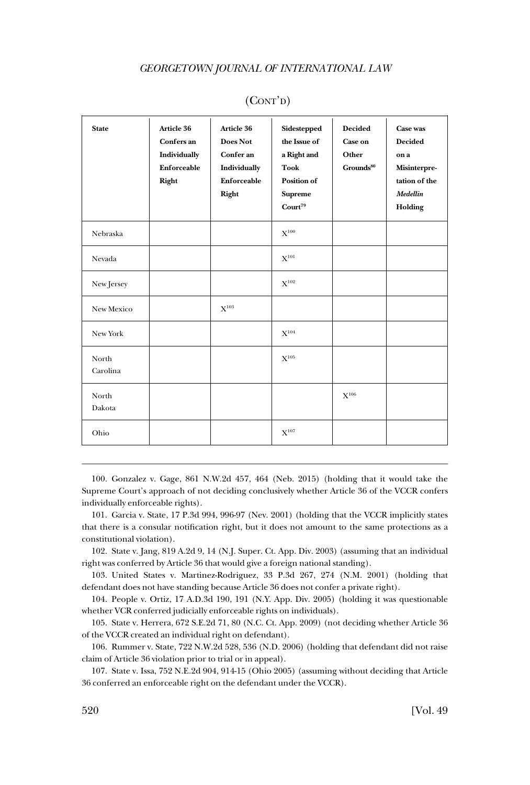| <b>State</b>      | Article 36<br>Confers an<br>Individually<br>Enforceable<br>Right | Article 36<br>Does Not<br>Confer an<br>Individually<br>Enforceable<br>Right | Sidestepped<br>the Issue of<br>a Right and<br><b>Took</b><br><b>Position of</b><br><b>Supreme</b><br>$Court^{79}$ | <b>Decided</b><br>Case on<br>Other<br>Grounds <sup>80</sup> | Case was<br><b>Decided</b><br>on a<br>Misinterpre-<br>tation of the<br>Medellin<br>Holding |
|-------------------|------------------------------------------------------------------|-----------------------------------------------------------------------------|-------------------------------------------------------------------------------------------------------------------|-------------------------------------------------------------|--------------------------------------------------------------------------------------------|
| Nebraska          |                                                                  |                                                                             | $X^{100}$                                                                                                         |                                                             |                                                                                            |
| Nevada            |                                                                  |                                                                             | $X^{101}$                                                                                                         |                                                             |                                                                                            |
| New Jersey        |                                                                  |                                                                             | $X^{102}$                                                                                                         |                                                             |                                                                                            |
| New Mexico        |                                                                  | $X^{103}$                                                                   |                                                                                                                   |                                                             |                                                                                            |
| New York          |                                                                  |                                                                             | $X^{104}$                                                                                                         |                                                             |                                                                                            |
| North<br>Carolina |                                                                  |                                                                             | $X^{105}$                                                                                                         |                                                             |                                                                                            |
| North<br>Dakota   |                                                                  |                                                                             |                                                                                                                   | $\mathbf{X}^{106}$                                          |                                                                                            |
| Ohio              |                                                                  |                                                                             | $X^{107}$                                                                                                         |                                                             |                                                                                            |

100. Gonzalez v. Gage, 861 N.W.2d 457, 464 (Neb. 2015) (holding that it would take the Supreme Court's approach of not deciding conclusively whether Article 36 of the VCCR confers individually enforceable rights).

101. Garcia v. State, 17 P.3d 994, 996-97 (Nev. 2001) (holding that the VCCR implicitly states that there is a consular notification right, but it does not amount to the same protections as a constitutional violation).

102. State v. Jang, 819 A.2d 9, 14 (N.J. Super. Ct. App. Div. 2003) (assuming that an individual right was conferred by Article 36 that would give a foreign national standing).

103. United States v. Martinez-Rodriguez, 33 P.3d 267, 274 (N.M. 2001) (holding that defendant does not have standing because Article 36 does not confer a private right).

104. People v. Ortiz, 17 A.D.3d 190, 191 (N.Y. App. Div. 2005) (holding it was questionable whether VCR conferred judicially enforceable rights on individuals).

105. State v. Herrera, 672 S.E.2d 71, 80 (N.C. Ct. App. 2009) (not deciding whether Article 36 of the VCCR created an individual right on defendant).

106. Rummer v. State, 722 N.W.2d 528, 536 (N.D. 2006) (holding that defendant did not raise claim of Article 36 violation prior to trial or in appeal).

107. State v. Issa, 752 N.E.2d 904, 914-15 (Ohio 2005) (assuming without deciding that Article 36 conferred an enforceable right on the defendant under the VCCR).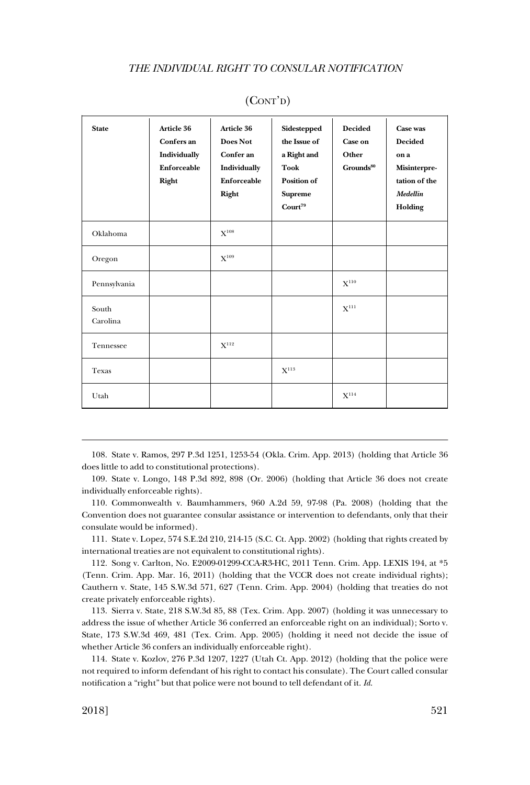| <b>State</b>      | Article 36<br>Confers an<br>Individually<br>Enforceable<br>Right | Article 36<br>Does Not<br>Confer an<br>Individually<br>Enforceable<br>Right | Sidestepped<br>the Issue of<br>a Right and<br><b>Took</b><br><b>Position of</b><br><b>Supreme</b><br>Count <sup>79</sup> | <b>Decided</b><br><b>Case on</b><br>Other<br>$G$ rounds $^{80}$ | Case was<br><b>Decided</b><br>on a<br>Misinterpre-<br>tation of the<br>Medellin<br>Holding |
|-------------------|------------------------------------------------------------------|-----------------------------------------------------------------------------|--------------------------------------------------------------------------------------------------------------------------|-----------------------------------------------------------------|--------------------------------------------------------------------------------------------|
| Oklahoma          |                                                                  | $X^{108}$                                                                   |                                                                                                                          |                                                                 |                                                                                            |
| Oregon            |                                                                  | $X^{109}$                                                                   |                                                                                                                          |                                                                 |                                                                                            |
| Pennsylvania      |                                                                  |                                                                             |                                                                                                                          | $X^{110}$                                                       |                                                                                            |
| South<br>Carolina |                                                                  |                                                                             |                                                                                                                          | $X^{111}$                                                       |                                                                                            |
| Tennessee         |                                                                  | ${\bf X}^{112}$                                                             |                                                                                                                          |                                                                 |                                                                                            |
| Texas             |                                                                  |                                                                             | $X^{113}$                                                                                                                |                                                                 |                                                                                            |
| Utah              |                                                                  |                                                                             |                                                                                                                          | $X^{114}$                                                       |                                                                                            |

108. State v. Ramos, 297 P.3d 1251, 1253-54 (Okla. Crim. App. 2013) (holding that Article 36 does little to add to constitutional protections).

109. State v. Longo, 148 P.3d 892, 898 (Or. 2006) (holding that Article 36 does not create individually enforceable rights).

110. Commonwealth v. Baumhammers, 960 A.2d 59, 97-98 (Pa. 2008) (holding that the Convention does not guarantee consular assistance or intervention to defendants, only that their consulate would be informed).

111. State v. Lopez, 574 S.E.2d 210, 214-15 (S.C. Ct. App. 2002) (holding that rights created by international treaties are not equivalent to constitutional rights).

112. Song v. Carlton, No. E2009-01299-CCA-R3-HC, 2011 Tenn. Crim. App. LEXIS 194, at \*5 (Tenn. Crim. App. Mar. 16, 2011) (holding that the VCCR does not create individual rights); Cauthern v. State, 145 S.W.3d 571, 627 (Tenn. Crim. App. 2004) (holding that treaties do not create privately enforceable rights).

113. Sierra v. State, 218 S.W.3d 85, 88 (Tex. Crim. App. 2007) (holding it was unnecessary to address the issue of whether Article 36 conferred an enforceable right on an individual); Sorto v. State, 173 S.W.3d 469, 481 (Tex. Crim. App. 2005) (holding it need not decide the issue of whether Article 36 confers an individually enforceable right).

114. State v. Kozlov, 276 P.3d 1207, 1227 (Utah Ct. App. 2012) (holding that the police were not required to inform defendant of his right to contact his consulate). The Court called consular notification a "right" but that police were not bound to tell defendant of it. *Id*.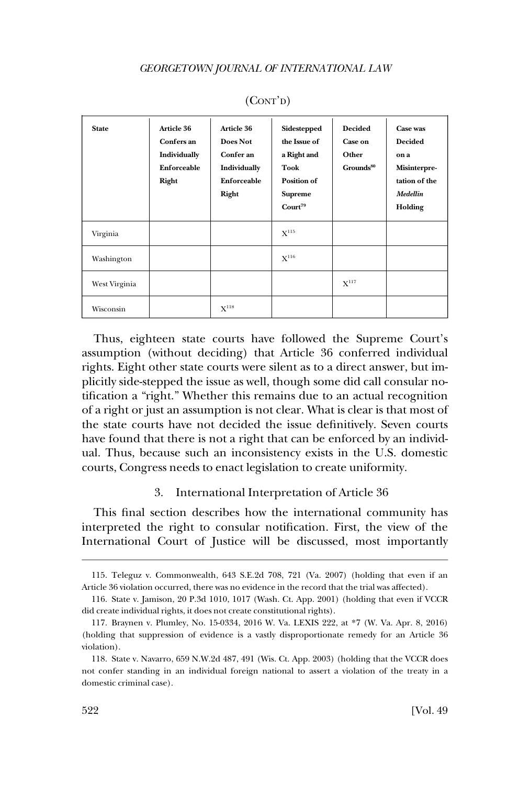<span id="page-21-0"></span>

| <b>State</b>  | <b>Article 36</b><br>Confers an<br>Individually<br>Enforceable<br>Right | <b>Article 36</b><br><b>Does Not</b><br>Confer an<br>Individually<br>Enforceable<br>Right | Sidestepped<br>the Issue of<br>a Right and<br>Took<br>Position of<br><b>Supreme</b><br>Count <sup>79</sup> | <b>Decided</b><br><b>Case on</b><br>Other<br>$G$ rounds $^{80}$ | Case was<br><b>Decided</b><br>on a<br><b>Misinterpre-</b><br>tation of the<br><b>Medellin</b><br>Holding |
|---------------|-------------------------------------------------------------------------|-------------------------------------------------------------------------------------------|------------------------------------------------------------------------------------------------------------|-----------------------------------------------------------------|----------------------------------------------------------------------------------------------------------|
| Virginia      |                                                                         |                                                                                           | $X^{115}$                                                                                                  |                                                                 |                                                                                                          |
| Washington    |                                                                         |                                                                                           | $X^{116}$                                                                                                  |                                                                 |                                                                                                          |
| West Virginia |                                                                         |                                                                                           |                                                                                                            | $X^{117}$                                                       |                                                                                                          |
| Wisconsin     |                                                                         | $X^{118}$                                                                                 |                                                                                                            |                                                                 |                                                                                                          |

Thus, eighteen state courts have followed the Supreme Court's assumption (without deciding) that Article 36 conferred individual rights. Eight other state courts were silent as to a direct answer, but implicitly side-stepped the issue as well, though some did call consular notification a "right." Whether this remains due to an actual recognition of a right or just an assumption is not clear. What is clear is that most of the state courts have not decided the issue definitively. Seven courts have found that there is not a right that can be enforced by an individual. Thus, because such an inconsistency exists in the U.S. domestic courts, Congress needs to enact legislation to create uniformity.

## 3. International Interpretation of Article 36

This final section describes how the international community has interpreted the right to consular notification. First, the view of the International Court of Justice will be discussed, most importantly

<sup>115.</sup> Teleguz v. Commonwealth, 643 S.E.2d 708, 721 (Va. 2007) (holding that even if an Article 36 violation occurred, there was no evidence in the record that the trial was affected).

<sup>116.</sup> State v. Jamison, 20 P.3d 1010, 1017 (Wash. Ct. App. 2001) (holding that even if VCCR did create individual rights, it does not create constitutional rights).

<sup>117.</sup> Braynen v. Plumley, No. 15-0334, 2016 W. Va. LEXIS 222, at \*7 (W. Va. Apr. 8, 2016) (holding that suppression of evidence is a vastly disproportionate remedy for an Article 36 violation).

<sup>118.</sup> State v. Navarro, 659 N.W.2d 487, 491 (Wis. Ct. App. 2003) (holding that the VCCR does not confer standing in an individual foreign national to assert a violation of the treaty in a domestic criminal case).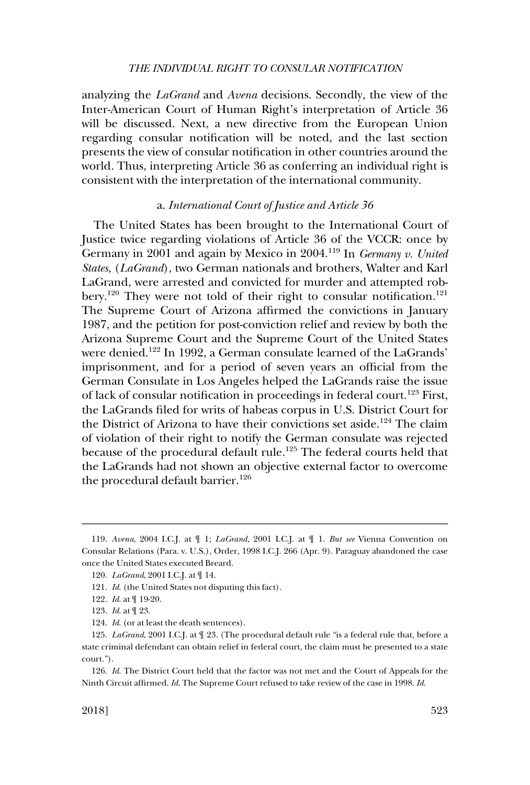<span id="page-22-0"></span>analyzing the *LaGrand* and *Avena* decisions. Secondly, the view of the Inter-American Court of Human Right's interpretation of Article 36 will be discussed. Next, a new directive from the European Union regarding consular notification will be noted, and the last section presents the view of consular notification in other countries around the world. Thus, interpreting Article 36 as conferring an individual right is consistent with the interpretation of the international community.

## a. *International Court of Justice and Article 36*

The United States has been brought to the International Court of Justice twice regarding violations of Article 36 of the VCCR: once by Germany in 2001 and again by Mexico in 2004.119 In *Germany v. United States*, (*LaGrand*), two German nationals and brothers, Walter and Karl LaGrand, were arrested and convicted for murder and attempted robbery.<sup>120</sup> They were not told of their right to consular notification.<sup>121</sup> The Supreme Court of Arizona affirmed the convictions in January 1987, and the petition for post-conviction relief and review by both the Arizona Supreme Court and the Supreme Court of the United States were denied.<sup>122</sup> In 1992, a German consulate learned of the LaGrands' imprisonment, and for a period of seven years an official from the German Consulate in Los Angeles helped the LaGrands raise the issue of lack of consular notification in proceedings in federal court.123 First, the LaGrands filed for writs of habeas corpus in U.S. District Court for the District of Arizona to have their convictions set aside.<sup>124</sup> The claim of violation of their right to notify the German consulate was rejected because of the procedural default rule.<sup>125</sup> The federal courts held that the LaGrands had not shown an objective external factor to overcome the procedural default barrier.<sup>126</sup>

<sup>119.</sup> *Avena*, 2004 I.C.J. at ¶ 1; *LaGrand*, 2001 I.C.J. at ¶ 1. *But see* Vienna Convention on Consular Relations (Para. v. U.S.), Order, 1998 I.C.J. 266 (Apr. 9). Paraguay abandoned the case once the United States executed Breard.

<sup>120.</sup> *LaGrand*, 2001 I.C.J. at ¶ 14.

<sup>121.</sup> *Id*. (the United States not disputing this fact).

<sup>122.</sup> *Id*. at ¶ 19-20.

<sup>123.</sup> *Id*. at ¶ 23.

<sup>124.</sup> *Id*. (or at least the death sentences).

<sup>125.</sup> *LaGrand*, 2001 I.C.J. at ¶ 23. (The procedural default rule "is a federal rule that, before a state criminal defendant can obtain relief in federal court, the claim must be presented to a state court.").

<sup>126.</sup> *Id*. The District Court held that the factor was not met and the Court of Appeals for the Ninth Circuit affirmed. *Id*. The Supreme Court refused to take review of the case in 1998. *Id*.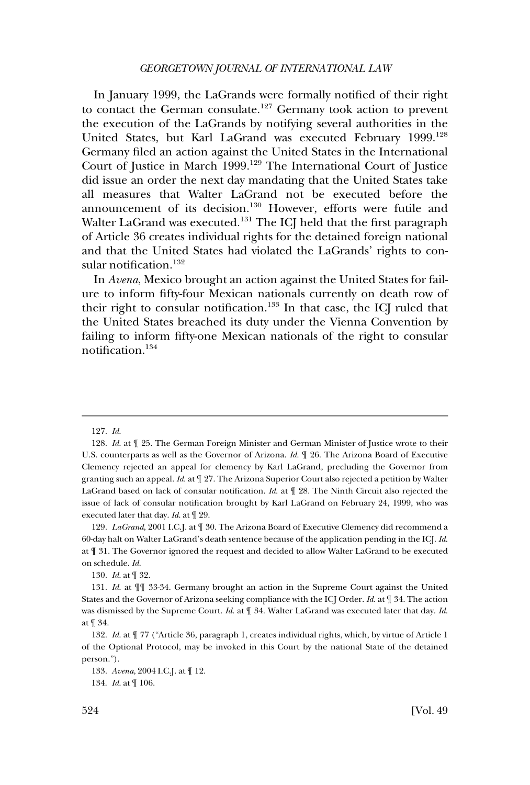#### *GEORGETOWN JOURNAL OF INTERNATIONAL LAW*

In January 1999, the LaGrands were formally notified of their right to contact the German consulate.127 Germany took action to prevent the execution of the LaGrands by notifying several authorities in the United States, but Karl LaGrand was executed February 1999.<sup>128</sup> Germany filed an action against the United States in the International Court of Justice in March 1999.129 The International Court of Justice did issue an order the next day mandating that the United States take all measures that Walter LaGrand not be executed before the announcement of its decision.<sup>130</sup> However, efforts were futile and Walter LaGrand was executed.<sup>131</sup> The ICJ held that the first paragraph of Article 36 creates individual rights for the detained foreign national and that the United States had violated the LaGrands' rights to consular notification.<sup>132</sup>

In *Avena*, Mexico brought an action against the United States for failure to inform fifty-four Mexican nationals currently on death row of their right to consular notification.<sup>133</sup> In that case, the ICJ ruled that the United States breached its duty under the Vienna Convention by failing to inform fifty-one Mexican nationals of the right to consular notification.134

130. *Id*. at ¶ 32.

<sup>127.</sup> *Id*.

<sup>128.</sup> *Id*. at ¶ 25. The German Foreign Minister and German Minister of Justice wrote to their U.S. counterparts as well as the Governor of Arizona. *Id*. ¶ 26. The Arizona Board of Executive Clemency rejected an appeal for clemency by Karl LaGrand, precluding the Governor from granting such an appeal. *Id*. at ¶ 27. The Arizona Superior Court also rejected a petition by Walter LaGrand based on lack of consular notification. *Id*. at ¶ 28. The Ninth Circuit also rejected the issue of lack of consular notification brought by Karl LaGrand on February 24, 1999, who was executed later that day. *Id*. at ¶ 29.

<sup>129.</sup> *LaGrand*, 2001 I.C.J. at ¶ 30. The Arizona Board of Executive Clemency did recommend a 60-day halt on Walter LaGrand's death sentence because of the application pending in the ICJ. *Id*. at ¶ 31. The Governor ignored the request and decided to allow Walter LaGrand to be executed on schedule. *Id*.

<sup>131.</sup> *Id*. at ¶¶ 33-34. Germany brought an action in the Supreme Court against the United States and the Governor of Arizona seeking compliance with the ICJ Order. *Id*. at ¶ 34. The action was dismissed by the Supreme Court. *Id*. at ¶ 34. Walter LaGrand was executed later that day. *Id*. at ¶ 34.

<sup>132.</sup> *Id*. at ¶ 77 ("Article 36, paragraph 1, creates individual rights, which, by virtue of Article 1 of the Optional Protocol, may be invoked in this Court by the national State of the detained person.").

<sup>133.</sup> *Avena*, 2004 I.C.J. at ¶ 12.

<sup>134.</sup> *Id*. at ¶ 106.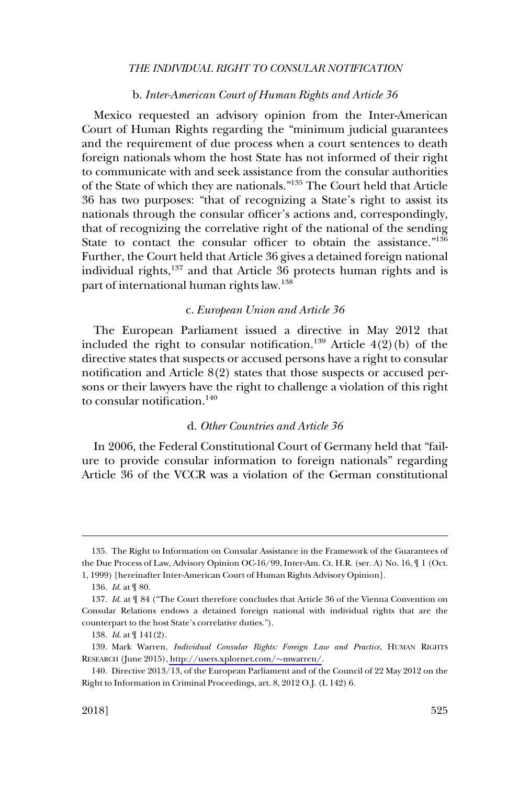### b. *Inter-American Court of Human Rights and Article 36*

<span id="page-24-0"></span>Mexico requested an advisory opinion from the Inter-American Court of Human Rights regarding the "minimum judicial guarantees and the requirement of due process when a court sentences to death foreign nationals whom the host State has not informed of their right to communicate with and seek assistance from the consular authorities of the State of which they are nationals."135 The Court held that Article 36 has two purposes: "that of recognizing a State's right to assist its nationals through the consular officer's actions and, correspondingly, that of recognizing the correlative right of the national of the sending State to contact the consular officer to obtain the assistance."<sup>136</sup> Further, the Court held that Article 36 gives a detained foreign national individual rights,137 and that Article 36 protects human rights and is part of international human rights law.138

#### c. *European Union and Article 36*

The European Parliament issued a directive in May 2012 that included the right to consular notification.<sup>139</sup> Article  $4(2)(b)$  of the directive states that suspects or accused persons have a right to consular notification and Article 8(2) states that those suspects or accused persons or their lawyers have the right to challenge a violation of this right to consular notification. $140$ 

## d. *Other Countries and Article 36*

In 2006, the Federal Constitutional Court of Germany held that "failure to provide consular information to foreign nationals" regarding Article 36 of the VCCR was a violation of the German constitutional

<sup>135.</sup> The Right to Information on Consular Assistance in the Framework of the Guarantees of the Due Process of Law, Advisory Opinion OC-16/99, Inter-Am. Ct. H.R. (ser. A) No. 16, ¶ 1 (Oct. 1, 1999) [hereinafter Inter-American Court of Human Rights Advisory Opinion].

<sup>136.</sup> *Id*. at ¶ 80.

<sup>137.</sup> *Id*. at ¶ 84 ("The Court therefore concludes that Article 36 of the Vienna Convention on Consular Relations endows a detained foreign national with individual rights that are the counterpart to the host State's correlative duties.").

<sup>138.</sup> *Id*. at ¶ 141(2).

<sup>139.</sup> Mark Warren, *Individual Consular Rights: Foreign Law and Practice*, HUMAN RIGHTS RESEARCH (June 2015), [http://users.xplornet.com/](http://users.xplornet.com/~mwarren/)~mwarren/.

<sup>140.</sup> Directive 2013/13, of the European Parliament and of the Council of 22 May 2012 on the Right to Information in Criminal Proceedings, art. 8, 2012 O.J. (L 142) 6.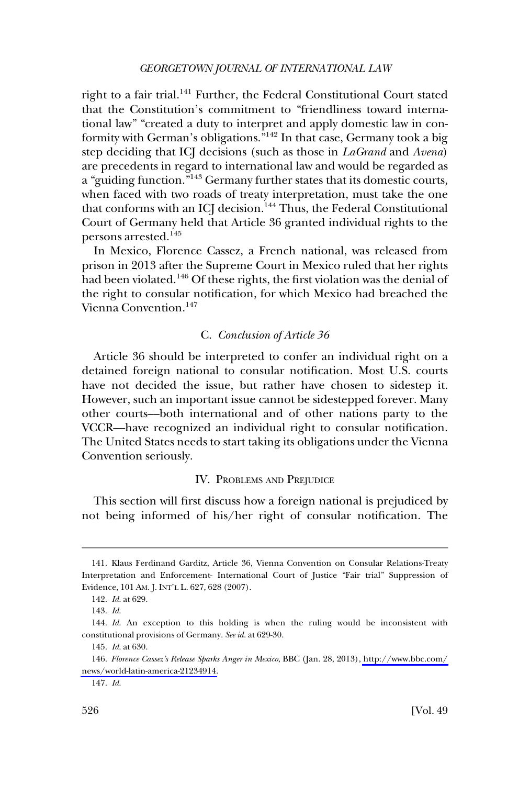### *GEORGETOWN JOURNAL OF INTERNATIONAL LAW*

<span id="page-25-0"></span>right to a fair trial.<sup>141</sup> Further, the Federal Constitutional Court stated that the Constitution's commitment to "friendliness toward international law" "created a duty to interpret and apply domestic law in conformity with German's obligations."142 In that case, Germany took a big step deciding that ICJ decisions (such as those in *LaGrand* and *Avena*) are precedents in regard to international law and would be regarded as a "guiding function."143 Germany further states that its domestic courts, when faced with two roads of treaty interpretation, must take the one that conforms with an ICJ decision.<sup>144</sup> Thus, the Federal Constitutional Court of Germany held that Article 36 granted individual rights to the persons arrested.<sup>145</sup>

In Mexico, Florence Cassez, a French national, was released from prison in 2013 after the Supreme Court in Mexico ruled that her rights had been violated.<sup>146</sup> Of these rights, the first violation was the denial of the right to consular notification, for which Mexico had breached the Vienna Convention.<sup>147</sup>

### C. *Conclusion of Article 36*

Article 36 should be interpreted to confer an individual right on a detained foreign national to consular notification. Most U.S. courts have not decided the issue, but rather have chosen to sidestep it. However, such an important issue cannot be sidestepped forever. Many other courts––both international and of other nations party to the VCCR––have recognized an individual right to consular notification. The United States needs to start taking its obligations under the Vienna Convention seriously.

#### IV. PROBLEMS AND PREJUDICE

This section will first discuss how a foreign national is prejudiced by not being informed of his/her right of consular notification. The

<sup>141.</sup> Klaus Ferdinand Garditz, Article 36, Vienna Convention on Consular Relations-Treaty Interpretation and Enforcement- International Court of Justice "Fair trial" Suppression of Evidence, 101 AM. J. INT'L L. 627, 628 (2007).

<sup>142.</sup> *Id*. at 629.

<sup>143.</sup> *Id*.

<sup>144.</sup> *Id*. An exception to this holding is when the ruling would be inconsistent with constitutional provisions of Germany. *See id*. at 629-30.

<sup>145.</sup> *Id*. at 630.

*Florence Cassez's Release Sparks Anger in Mexico*, BBC (Jan. 28, 2013), [http://www.bbc.com/](http://www.bbc.com/news/world-latin-america-21234914)  146. [news/world-latin-america-21234914.](http://www.bbc.com/news/world-latin-america-21234914)

<sup>147.</sup> *Id*.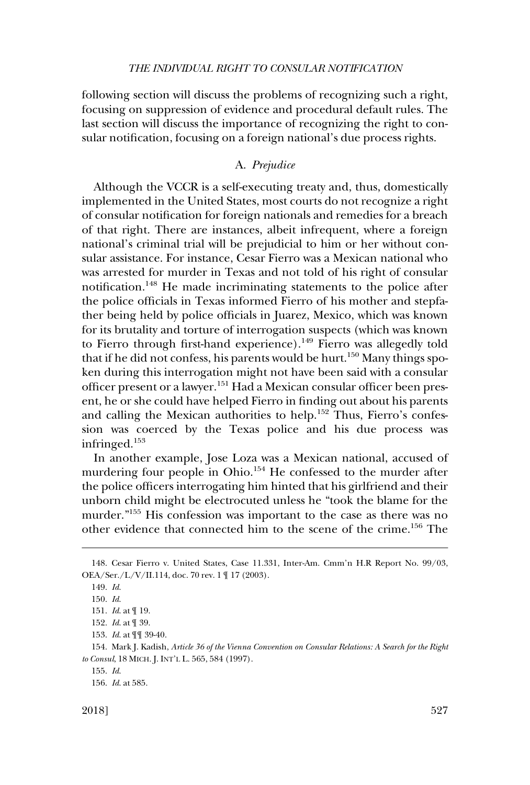<span id="page-26-0"></span>following section will discuss the problems of recognizing such a right, focusing on suppression of evidence and procedural default rules. The last section will discuss the importance of recognizing the right to consular notification, focusing on a foreign national's due process rights.

## A. *Prejudice*

Although the VCCR is a self-executing treaty and, thus, domestically implemented in the United States, most courts do not recognize a right of consular notification for foreign nationals and remedies for a breach of that right. There are instances, albeit infrequent, where a foreign national's criminal trial will be prejudicial to him or her without consular assistance. For instance, Cesar Fierro was a Mexican national who was arrested for murder in Texas and not told of his right of consular notification.<sup>148</sup> He made incriminating statements to the police after the police officials in Texas informed Fierro of his mother and stepfather being held by police officials in Juarez, Mexico, which was known for its brutality and torture of interrogation suspects (which was known to Fierro through first-hand experience).<sup>149</sup> Fierro was allegedly told that if he did not confess, his parents would be hurt.<sup>150</sup> Many things spoken during this interrogation might not have been said with a consular officer present or a lawyer.151 Had a Mexican consular officer been present, he or she could have helped Fierro in finding out about his parents and calling the Mexican authorities to help.<sup>152</sup> Thus, Fierro's confession was coerced by the Texas police and his due process was infringed.153

In another example, Jose Loza was a Mexican national, accused of murdering four people in Ohio.<sup>154</sup> He confessed to the murder after the police officers interrogating him hinted that his girlfriend and their unborn child might be electrocuted unless he "took the blame for the murder."155 His confession was important to the case as there was no other evidence that connected him to the scene of the crime.156 The

<sup>148.</sup> Cesar Fierro v. United States, Case 11.331, Inter-Am. Cmm'n H.R Report No. 99/03, OEA/Ser./L/V/II.114, doc. 70 rev. 1 ¶ 17 (2003).

<sup>149.</sup> *Id*.

<sup>150.</sup> *Id*.

<sup>151.</sup> *Id*. at ¶ 19.

<sup>152.</sup> *Id*. at ¶ 39.

<sup>153.</sup> *Id*. at ¶¶ 39-40.

<sup>154.</sup> Mark J. Kadish, *Article 36 of the Vienna Convention on Consular Relations: A Search for the Right to Consul*, 18 MICH. J. INT'L L. 565, 584 (1997).

<sup>155.</sup> *Id*.

<sup>156.</sup> *Id*. at 585.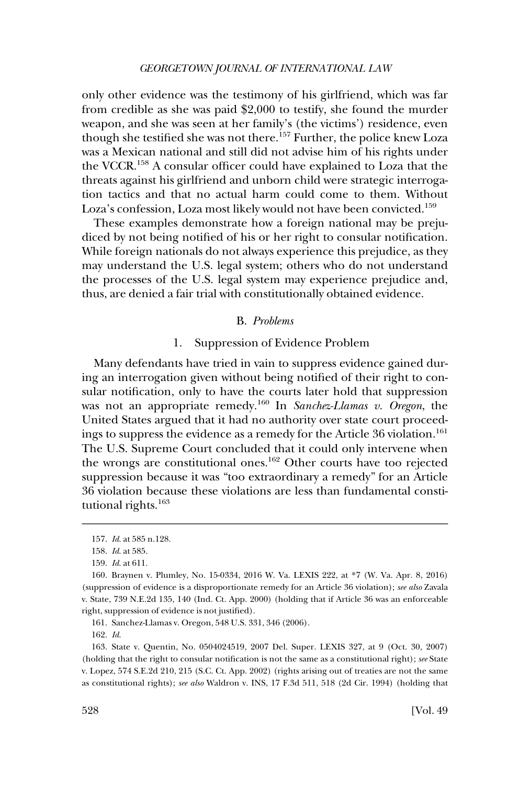*GEORGETOWN JOURNAL OF INTERNATIONAL LAW* 

<span id="page-27-0"></span>only other evidence was the testimony of his girlfriend, which was far from credible as she was paid \$2,000 to testify, she found the murder weapon, and she was seen at her family's (the victims') residence, even though she testified she was not there.157 Further, the police knew Loza was a Mexican national and still did not advise him of his rights under the VCCR.158 A consular officer could have explained to Loza that the threats against his girlfriend and unborn child were strategic interrogation tactics and that no actual harm could come to them. Without Loza's confession, Loza most likely would not have been convicted.<sup>159</sup>

These examples demonstrate how a foreign national may be prejudiced by not being notified of his or her right to consular notification. While foreign nationals do not always experience this prejudice, as they may understand the U.S. legal system; others who do not understand the processes of the U.S. legal system may experience prejudice and, thus, are denied a fair trial with constitutionally obtained evidence.

## B. *Problems*

## 1. Suppression of Evidence Problem

Many defendants have tried in vain to suppress evidence gained during an interrogation given without being notified of their right to consular notification, only to have the courts later hold that suppression was not an appropriate remedy.160 In *Sanchez-Llamas v. Oregon*, the United States argued that it had no authority over state court proceedings to suppress the evidence as a remedy for the Article 36 violation.<sup>161</sup> The U.S. Supreme Court concluded that it could only intervene when the wrongs are constitutional ones.162 Other courts have too rejected suppression because it was "too extraordinary a remedy" for an Article 36 violation because these violations are less than fundamental constitutional rights.<sup>163</sup>

162. *Id*.

<sup>157.</sup> *Id*. at 585 n.128.

<sup>158.</sup> *Id*. at 585.

<sup>159.</sup> *Id*. at 611.

<sup>160.</sup> Braynen v. Plumley, No. 15-0334, 2016 W. Va. LEXIS 222, at \*7 (W. Va. Apr. 8, 2016) (suppression of evidence is a disproportionate remedy for an Article 36 violation); *see also* Zavala v. State, 739 N.E.2d 135, 140 (Ind. Ct. App. 2000) (holding that if Article 36 was an enforceable right, suppression of evidence is not justified).

<sup>161.</sup> Sanchez-Llamas v. Oregon, 548 U.S. 331, 346 (2006).

<sup>163.</sup> State v. Quentin, No. 0504024519, 2007 Del. Super. LEXIS 327, at 9 (Oct. 30, 2007) (holding that the right to consular notification is not the same as a constitutional right); *see* State v. Lopez, 574 S.E.2d 210, 215 (S.C. Ct. App. 2002) (rights arising out of treaties are not the same as constitutional rights); *see also* Waldron v. INS, 17 F.3d 511, 518 (2d Cir. 1994) (holding that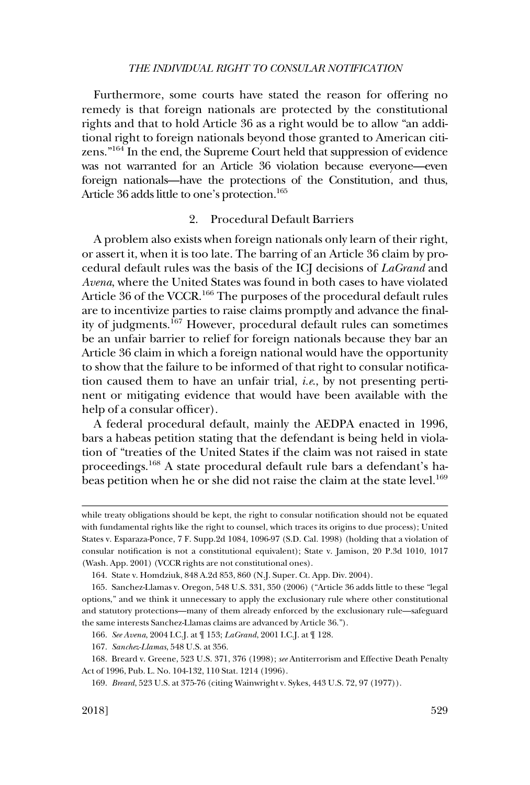<span id="page-28-0"></span>Furthermore, some courts have stated the reason for offering no remedy is that foreign nationals are protected by the constitutional rights and that to hold Article 36 as a right would be to allow "an additional right to foreign nationals beyond those granted to American citizens."164 In the end, the Supreme Court held that suppression of evidence was not warranted for an Article 36 violation because everyone—even foreign nationals—have the protections of the Constitution, and thus, Article 36 adds little to one's protection.<sup>165</sup>

## 2. Procedural Default Barriers

A problem also exists when foreign nationals only learn of their right, or assert it, when it is too late. The barring of an Article 36 claim by procedural default rules was the basis of the ICJ decisions of *LaGrand* and *Avena*, where the United States was found in both cases to have violated Article 36 of the VCCR.<sup>166</sup> The purposes of the procedural default rules are to incentivize parties to raise claims promptly and advance the finality of judgments.<sup>167</sup> However, procedural default rules can sometimes be an unfair barrier to relief for foreign nationals because they bar an Article 36 claim in which a foreign national would have the opportunity to show that the failure to be informed of that right to consular notification caused them to have an unfair trial, *i.e*., by not presenting pertinent or mitigating evidence that would have been available with the help of a consular officer).

A federal procedural default, mainly the AEDPA enacted in 1996, bars a habeas petition stating that the defendant is being held in violation of "treaties of the United States if the claim was not raised in state proceedings.168 A state procedural default rule bars a defendant's habeas petition when he or she did not raise the claim at the state level.<sup>169</sup>

169. *Breard*, 523 U.S. at 375-76 (citing Wainwright v. Sykes, 443 U.S. 72, 97 (1977)).

while treaty obligations should be kept, the right to consular notification should not be equated with fundamental rights like the right to counsel, which traces its origins to due process); United States v. Esparaza-Ponce, 7 F. Supp.2d 1084, 1096-97 (S.D. Cal. 1998) (holding that a violation of consular notification is not a constitutional equivalent); State v. Jamison, 20 P.3d 1010, 1017 (Wash. App. 2001) (VCCR rights are not constitutional ones).

<sup>164.</sup> State v. Homdziuk, 848 A.2d 853, 860 (N.J. Super. Ct. App. Div. 2004).

<sup>165.</sup> Sanchez-Llamas v. Oregon, 548 U.S. 331, 350 (2006) ("Article 36 adds little to these "legal options," and we think it unnecessary to apply the exclusionary rule where other constitutional and statutory protections—many of them already enforced by the exclusionary rule—safeguard the same interests Sanchez-Llamas claims are advanced by Article 36.").

<sup>166.</sup> *See Avena*, 2004 I.C.J. at ¶ 153; *LaGrand*, 2001 I.C.J. at ¶ 128.

<sup>167.</sup> *Sanchez-Llamas*, 548 U.S. at 356.

<sup>168.</sup> Breard v. Greene, 523 U.S. 371, 376 (1998); *see* Antiterrorism and Effective Death Penalty Act of 1996, Pub. L. No. 104-132, 110 Stat. 1214 (1996).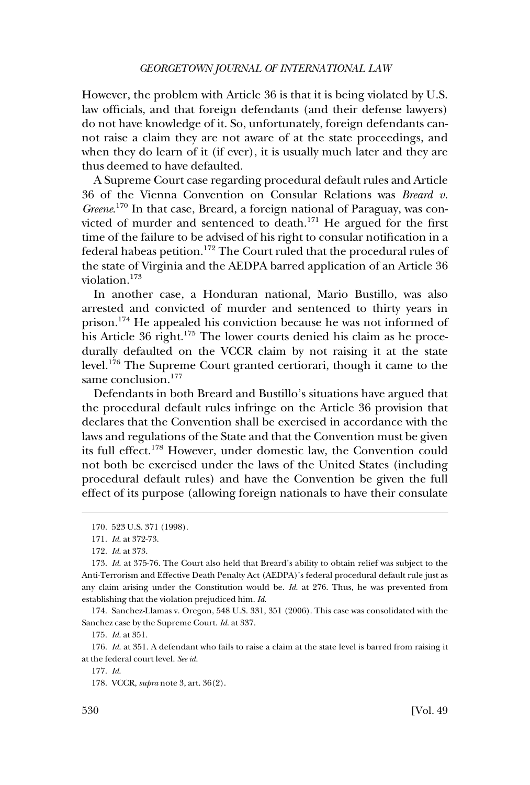However, the problem with Article 36 is that it is being violated by U.S. law officials, and that foreign defendants (and their defense lawyers) do not have knowledge of it. So, unfortunately, foreign defendants cannot raise a claim they are not aware of at the state proceedings, and when they do learn of it (if ever), it is usually much later and they are thus deemed to have defaulted.

A Supreme Court case regarding procedural default rules and Article 36 of the Vienna Convention on Consular Relations was *Breard v. Greene*. 170 In that case, Breard, a foreign national of Paraguay, was convicted of murder and sentenced to death.<sup>171</sup> He argued for the first time of the failure to be advised of his right to consular notification in a federal habeas petition.<sup>172</sup> The Court ruled that the procedural rules of the state of Virginia and the AEDPA barred application of an Article 36 violation.173

In another case, a Honduran national, Mario Bustillo, was also arrested and convicted of murder and sentenced to thirty years in prison.174 He appealed his conviction because he was not informed of his Article 36 right.<sup>175</sup> The lower courts denied his claim as he procedurally defaulted on the VCCR claim by not raising it at the state level.176 The Supreme Court granted certiorari, though it came to the same conclusion.<sup>177</sup>

Defendants in both Breard and Bustillo's situations have argued that the procedural default rules infringe on the Article 36 provision that declares that the Convention shall be exercised in accordance with the laws and regulations of the State and that the Convention must be given its full effect.178 However, under domestic law, the Convention could not both be exercised under the laws of the United States (including procedural default rules) and have the Convention be given the full effect of its purpose (allowing foreign nationals to have their consulate

174. Sanchez-Llamas v. Oregon, 548 U.S. 331, 351 (2006). This case was consolidated with the Sanchez case by the Supreme Court. *Id*. at 337.

175. *Id*. at 351.

176. *Id*. at 351. A defendant who fails to raise a claim at the state level is barred from raising it at the federal court level. *See id*.

<sup>170. 523</sup> U.S. 371 (1998).

<sup>171.</sup> *Id*. at 372-73.

<sup>172.</sup> *Id*. at 373.

<sup>173.</sup> *Id*. at 375-76. The Court also held that Breard's ability to obtain relief was subject to the Anti-Terrorism and Effective Death Penalty Act (AEDPA)'s federal procedural default rule just as any claim arising under the Constitution would be. *Id*. at 276. Thus, he was prevented from establishing that the violation prejudiced him. *Id*.

<sup>177.</sup> *Id*.

<sup>178.</sup> VCCR, *supra* note 3, art. 36(2).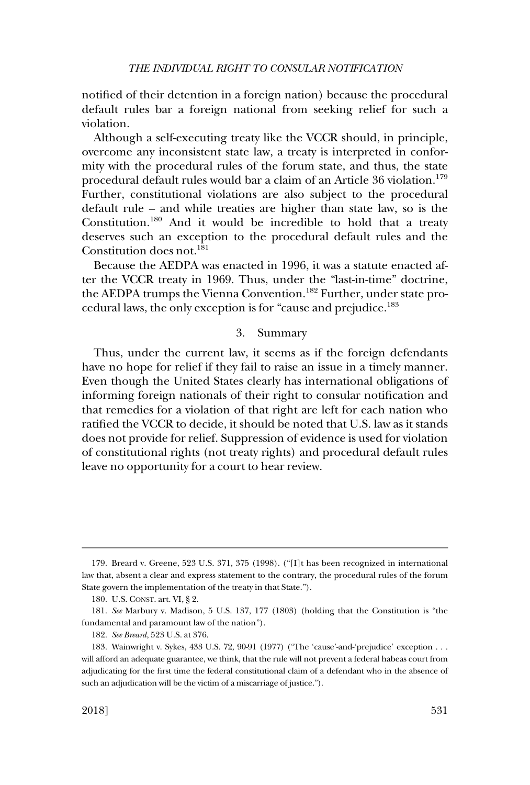<span id="page-30-0"></span>notified of their detention in a foreign nation) because the procedural default rules bar a foreign national from seeking relief for such a violation.

Although a self-executing treaty like the VCCR should, in principle, overcome any inconsistent state law, a treaty is interpreted in conformity with the procedural rules of the forum state, and thus, the state procedural default rules would bar a claim of an Article 36 violation.<sup>179</sup> Further, constitutional violations are also subject to the procedural default rule – and while treaties are higher than state law, so is the Constitution.180 And it would be incredible to hold that a treaty deserves such an exception to the procedural default rules and the Constitution does not.<sup>181</sup>

Because the AEDPA was enacted in 1996, it was a statute enacted after the VCCR treaty in 1969. Thus, under the "last-in-time" doctrine, the AEDPA trumps the Vienna Convention.<sup>182</sup> Further, under state procedural laws, the only exception is for "cause and prejudice.183

## 3. Summary

Thus, under the current law, it seems as if the foreign defendants have no hope for relief if they fail to raise an issue in a timely manner. Even though the United States clearly has international obligations of informing foreign nationals of their right to consular notification and that remedies for a violation of that right are left for each nation who ratified the VCCR to decide, it should be noted that U.S. law as it stands does not provide for relief. Suppression of evidence is used for violation of constitutional rights (not treaty rights) and procedural default rules leave no opportunity for a court to hear review.

<sup>179.</sup> Breard v. Greene, 523 U.S. 371, 375 (1998). ("[I]t has been recognized in international law that, absent a clear and express statement to the contrary, the procedural rules of the forum State govern the implementation of the treaty in that State.").

<sup>180.</sup> U.S. CONST. art. VI, § 2.

<sup>181.</sup> *See* Marbury v. Madison, 5 U.S. 137, 177 (1803) (holding that the Constitution is "the fundamental and paramount law of the nation").

<sup>182.</sup> *See Breard*, 523 U.S. at 376.

<sup>183.</sup> Wainwright v. Sykes, 433 U.S. 72, 90-91 (1977) ("The 'cause'-and-'prejudice' exception . . . will afford an adequate guarantee, we think, that the rule will not prevent a federal habeas court from adjudicating for the first time the federal constitutional claim of a defendant who in the absence of such an adjudication will be the victim of a miscarriage of justice.").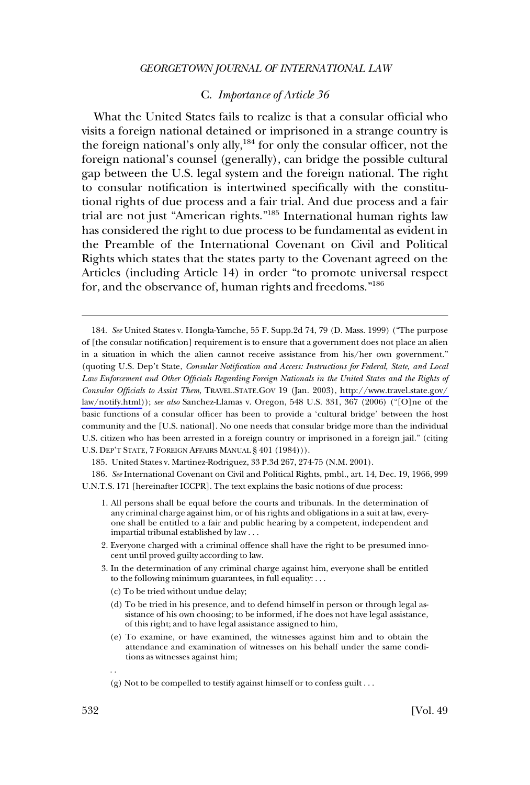## C. *Importance of Article 36*

<span id="page-31-0"></span>What the United States fails to realize is that a consular official who visits a foreign national detained or imprisoned in a strange country is the foreign national's only ally,<sup>184</sup> for only the consular officer, not the foreign national's counsel (generally), can bridge the possible cultural gap between the U.S. legal system and the foreign national. The right to consular notification is intertwined specifically with the constitutional rights of due process and a fair trial. And due process and a fair trial are not just "American rights."185 International human rights law has considered the right to due process to be fundamental as evident in the Preamble of the International Covenant on Civil and Political Rights which states that the states party to the Covenant agreed on the Articles (including Article 14) in order "to promote universal respect for, and the observance of, human rights and freedoms."<sup>186</sup>

185. United States v. Martinez-Rodriguez, 33 P.3d 267, 274-75 (N.M. 2001).

186. See International Covenant on Civil and Political Rights, pmbl., art. 14, Dec. 19, 1966, 999 U.N.T.S. 171 [hereinafter ICCPR]. The text explains the basic notions of due process:

- 2. Everyone charged with a criminal offence shall have the right to be presumed innocent until proved guilty according to law.
- 3. In the determination of any criminal charge against him, everyone shall be entitled to the following minimum guarantees, in full equality: . . .
	- (c) To be tried without undue delay;
	- (d) To be tried in his presence, and to defend himself in person or through legal assistance of his own choosing; to be informed, if he does not have legal assistance, of this right; and to have legal assistance assigned to him,
	- (e) To examine, or have examined, the witnesses against him and to obtain the attendance and examination of witnesses on his behalf under the same conditions as witnesses against him;

*See* United States v. Hongla-Yamche, 55 F. Supp.2d 74, 79 (D. Mass. 1999) ("The purpose 184. of [the consular notification] requirement is to ensure that a government does not place an alien in a situation in which the alien cannot receive assistance from his/her own government." (quoting U.S. Dep't State, *Consular Notification and Access: Instructions for Federal, State, and Local Law Enforcement and Other Officials Regarding Foreign Nationals in the United States and the Rights of Consular Officials to Assist Them*, TRAVEL.STATE.GOV 19 (Jan. 2003), [http://www.travel.state.gov/](http://www.travel.state.gov/law/notify.html)  [law/notify.html\)](http://www.travel.state.gov/law/notify.html)); *see also* Sanchez-Llamas v. Oregon, 548 U.S. 331, 367 (2006) ("[O]ne of the basic functions of a consular officer has been to provide a 'cultural bridge' between the host community and the [U.S. national]. No one needs that consular bridge more than the individual U.S. citizen who has been arrested in a foreign country or imprisoned in a foreign jail." (citing U.S. DEP'T STATE, 7 FOREIGN AFFAIRS MANUAL § 401 (1984))).

<sup>1.</sup> All persons shall be equal before the courts and tribunals. In the determination of any criminal charge against him, or of his rights and obligations in a suit at law, everyone shall be entitled to a fair and public hearing by a competent, independent and impartial tribunal established by law . . .

<sup>. .</sup> 

<sup>(</sup>g) Not to be compelled to testify against himself or to confess guilt . . .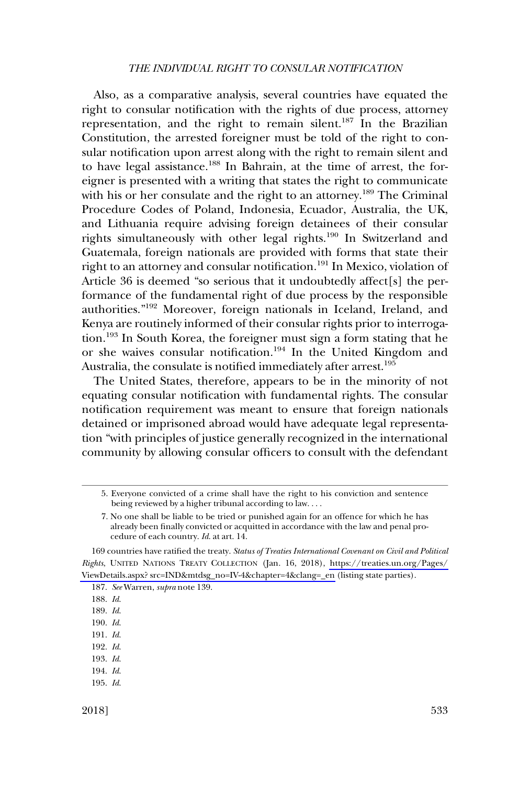Also, as a comparative analysis, several countries have equated the right to consular notification with the rights of due process, attorney representation, and the right to remain silent.<sup>187</sup> In the Brazilian Constitution, the arrested foreigner must be told of the right to consular notification upon arrest along with the right to remain silent and to have legal assistance.<sup>188</sup> In Bahrain, at the time of arrest, the foreigner is presented with a writing that states the right to communicate with his or her consulate and the right to an attorney.<sup>189</sup> The Criminal Procedure Codes of Poland, Indonesia, Ecuador, Australia, the UK, and Lithuania require advising foreign detainees of their consular rights simultaneously with other legal rights.190 In Switzerland and Guatemala, foreign nationals are provided with forms that state their right to an attorney and consular notification.191 In Mexico, violation of Article 36 is deemed "so serious that it undoubtedly affect[s] the performance of the fundamental right of due process by the responsible authorities."192 Moreover, foreign nationals in Iceland, Ireland, and Kenya are routinely informed of their consular rights prior to interrogation.193 In South Korea, the foreigner must sign a form stating that he or she waives consular notification.194 In the United Kingdom and Australia, the consulate is notified immediately after arrest.<sup>195</sup>

The United States, therefore, appears to be in the minority of not equating consular notification with fundamental rights. The consular notification requirement was meant to ensure that foreign nationals detained or imprisoned abroad would have adequate legal representation "with principles of justice generally recognized in the international community by allowing consular officers to consult with the defendant

- 191. *Id*.
- 192. *Id*.
- 193. *Id*.
- 194. *Id*.
- 195. *Id*.

<sup>5.</sup> Everyone convicted of a crime shall have the right to his conviction and sentence being reviewed by a higher tribunal according to law. . . .

<sup>7.</sup> No one shall be liable to be tried or punished again for an offence for which he has already been finally convicted or acquitted in accordance with the law and penal procedure of each country. *Id*. at art. 14.

<sup>169</sup> countries have ratified the treaty. *Status of Treaties International Covenant on Civil and Political Rights*, UNITED NATIONS TREATY COLLECTION (Jan. 16, 2018), [https://treaties.un.org/Pages/](https://treaties.un.org/Pages/ViewDetails.aspx?src=IND&mtdsg_no=IV-4&chapter=4&clang=_en) [ViewDetails.aspx? src=IND&mtdsg\\_no=IV-4&chapter=4&clang=\\_en](https://treaties.un.org/Pages/ViewDetails.aspx?src=IND&mtdsg_no=IV-4&chapter=4&clang=_en) (listing state parties).

<sup>187.</sup> *See* Warren, *supra* note 139.

<sup>188.</sup> *Id*.

<sup>189.</sup> *Id*.

<sup>190.</sup> *Id*.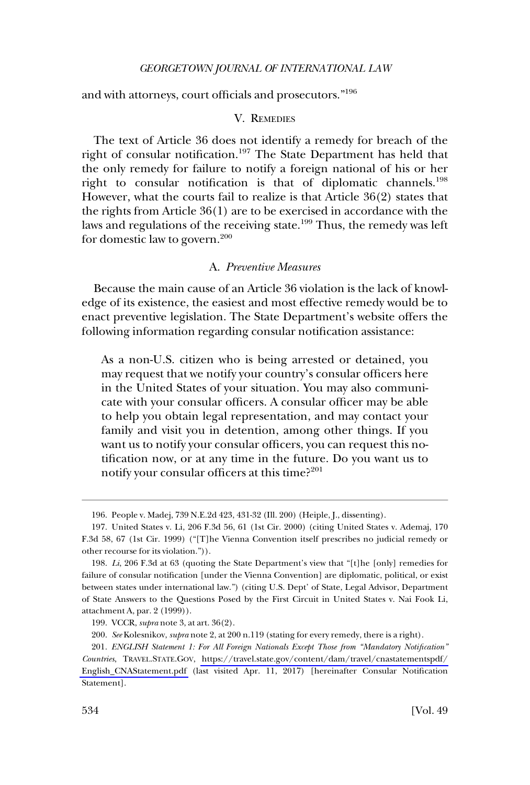<span id="page-33-0"></span>and with attorneys, court officials and prosecutors."<sup>196</sup>

#### V. REMEDIES

The text of Article 36 does not identify a remedy for breach of the right of consular notification.197 The State Department has held that the only remedy for failure to notify a foreign national of his or her right to consular notification is that of diplomatic channels.<sup>198</sup> However, what the courts fail to realize is that Article 36(2) states that the rights from Article 36(1) are to be exercised in accordance with the laws and regulations of the receiving state.<sup>199</sup> Thus, the remedy was left for domestic law to govern.200

## A. *Preventive Measures*

Because the main cause of an Article 36 violation is the lack of knowledge of its existence, the easiest and most effective remedy would be to enact preventive legislation. The State Department's website offers the following information regarding consular notification assistance:

As a non-U.S. citizen who is being arrested or detained, you may request that we notify your country's consular officers here in the United States of your situation. You may also communicate with your consular officers. A consular officer may be able to help you obtain legal representation, and may contact your family and visit you in detention, among other things. If you want us to notify your consular officers, you can request this notification now, or at any time in the future. Do you want us to notify your consular officers at this time? $2^{201}$ 

<sup>196.</sup> People v. Madej, 739 N.E.2d 423, 431-32 (Ill. 200) (Heiple, J., dissenting).

<sup>197.</sup> United States v. Li, 206 F.3d 56, 61 (1st Cir. 2000) (citing United States v. Ademaj, 170 F.3d 58, 67 (1st Cir. 1999) ("[T]he Vienna Convention itself prescribes no judicial remedy or other recourse for its violation.")).

<sup>198.</sup> *Li*, 206 F.3d at 63 (quoting the State Department's view that "[t]he [only] remedies for failure of consular notification [under the Vienna Convention] are diplomatic, political, or exist between states under international law.") (citing U.S. Dept' of State, Legal Advisor, Department of State Answers to the Questions Posed by the First Circuit in United States v. Nai Fook Li, attachment A, par. 2 (1999)).

<sup>199.</sup> VCCR, *supra* note 3, at art. 36(2).

<sup>200.</sup> *See* Kolesnikov, *supra* note 2, at 200 n.119 (stating for every remedy, there is a right).

<sup>201.</sup> *ENGLISH Statement 1: For All Foreign Nationals Except Those from "Mandatory Notification" Countries*, TRAVEL.STATE.GOV, [https://travel.state.gov/content/dam/travel/cnastatementspdf/](https://travel.state.gov/content/dam/travel/cnastatementspdf/English_CNAStatement.pdf) [English\\_CNAStatement.pdf](https://travel.state.gov/content/dam/travel/cnastatementspdf/English_CNAStatement.pdf) (last visited Apr. 11, 2017) [hereinafter Consular Notification Statement].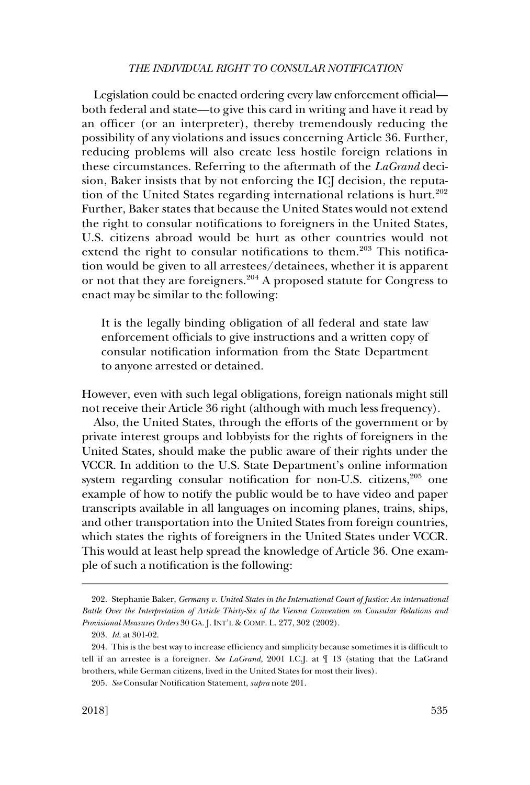Legislation could be enacted ordering every law enforcement official both federal and state—to give this card in writing and have it read by an officer (or an interpreter), thereby tremendously reducing the possibility of any violations and issues concerning Article 36. Further, reducing problems will also create less hostile foreign relations in these circumstances. Referring to the aftermath of the *LaGrand* decision, Baker insists that by not enforcing the ICJ decision, the reputation of the United States regarding international relations is hurt.<sup>202</sup> Further, Baker states that because the United States would not extend the right to consular notifications to foreigners in the United States, U.S. citizens abroad would be hurt as other countries would not extend the right to consular notifications to them.<sup>203</sup> This notification would be given to all arrestees/detainees, whether it is apparent or not that they are foreigners.204 A proposed statute for Congress to enact may be similar to the following:

It is the legally binding obligation of all federal and state law enforcement officials to give instructions and a written copy of consular notification information from the State Department to anyone arrested or detained.

However, even with such legal obligations, foreign nationals might still not receive their Article 36 right (although with much less frequency).

Also, the United States, through the efforts of the government or by private interest groups and lobbyists for the rights of foreigners in the United States, should make the public aware of their rights under the VCCR. In addition to the U.S. State Department's online information system regarding consular notification for non-U.S. citizens, $205$  one example of how to notify the public would be to have video and paper transcripts available in all languages on incoming planes, trains, ships, and other transportation into the United States from foreign countries, which states the rights of foreigners in the United States under VCCR. This would at least help spread the knowledge of Article 36. One example of such a notification is the following:

<sup>202.</sup> Stephanie Baker, *Germany v. United States in the International Court of Justice: An international Battle Over the Interpretation of Article Thirty-Six of the Vienna Convention on Consular Relations and Provisional Measures Orders* 30 GA. J. INT'L & COMP. L. 277, 302 (2002).

<sup>203.</sup> *Id*. at 301-02.

<sup>204.</sup> This is the best way to increase efficiency and simplicity because sometimes it is difficult to tell if an arrestee is a foreigner. *See LaGrand*, 2001 I.C.J. at ¶ 13 (stating that the LaGrand brothers, while German citizens, lived in the United States for most their lives).

<sup>205.</sup> *See* Consular Notification Statement, *supra* note 201.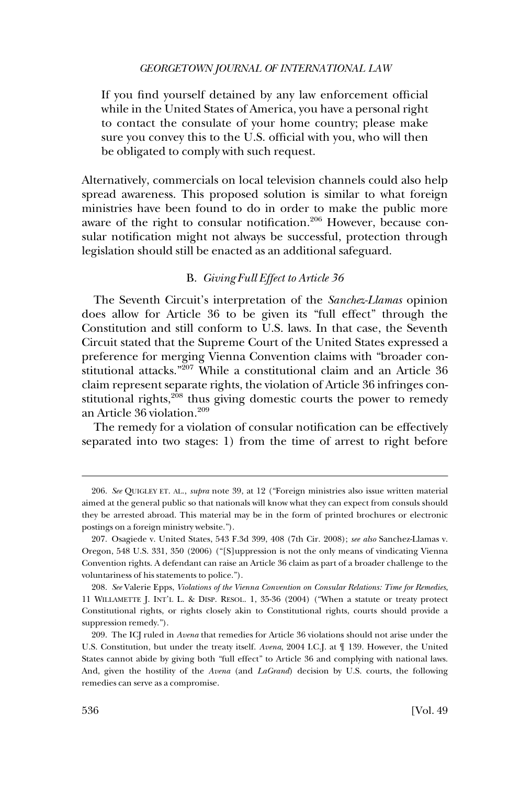### *GEORGETOWN JOURNAL OF INTERNATIONAL LAW*

<span id="page-35-0"></span>If you find yourself detained by any law enforcement official while in the United States of America, you have a personal right to contact the consulate of your home country; please make sure you convey this to the U.S. official with you, who will then be obligated to comply with such request.

Alternatively, commercials on local television channels could also help spread awareness. This proposed solution is similar to what foreign ministries have been found to do in order to make the public more aware of the right to consular notification.<sup>206</sup> However, because consular notification might not always be successful, protection through legislation should still be enacted as an additional safeguard.

## B. *Giving Full Effect to Article 36*

The Seventh Circuit's interpretation of the *Sanchez-Llamas* opinion does allow for Article 36 to be given its "full effect" through the Constitution and still conform to U.S. laws. In that case, the Seventh Circuit stated that the Supreme Court of the United States expressed a preference for merging Vienna Convention claims with "broader constitutional attacks."207 While a constitutional claim and an Article 36 claim represent separate rights, the violation of Article 36 infringes constitutional rights,<sup>208</sup> thus giving domestic courts the power to remedy an Article 36 violation.<sup>209</sup>

The remedy for a violation of consular notification can be effectively separated into two stages: 1) from the time of arrest to right before

<sup>206.</sup> *See* QUIGLEY ET. AL., *supra* note 39, at 12 ("Foreign ministries also issue written material aimed at the general public so that nationals will know what they can expect from consuls should they be arrested abroad. This material may be in the form of printed brochures or electronic postings on a foreign ministry website.").

<sup>207.</sup> Osagiede v. United States, 543 F.3d 399, 408 (7th Cir. 2008); *see also* Sanchez-Llamas v. Oregon, 548 U.S. 331, 350 (2006) ("[S]uppression is not the only means of vindicating Vienna Convention rights. A defendant can raise an Article 36 claim as part of a broader challenge to the voluntariness of his statements to police.").

<sup>208.</sup> *See* Valerie Epps, *Violations of the Vienna Convention on Consular Relations: Time for Remedies*, 11 WILLAMETTE J. INT'L L. & DISP. RESOL. 1, 35-36 (2004) ("When a statute or treaty protect Constitutional rights, or rights closely akin to Constitutional rights, courts should provide a suppression remedy.").

<sup>209.</sup> The ICJ ruled in *Avena* that remedies for Article 36 violations should not arise under the U.S. Constitution, but under the treaty itself. *Avena*, 2004 I.C.J. at ¶ 139. However, the United States cannot abide by giving both "full effect" to Article 36 and complying with national laws. And, given the hostility of the *Avena* (and *LaGrand*) decision by U.S. courts, the following remedies can serve as a compromise.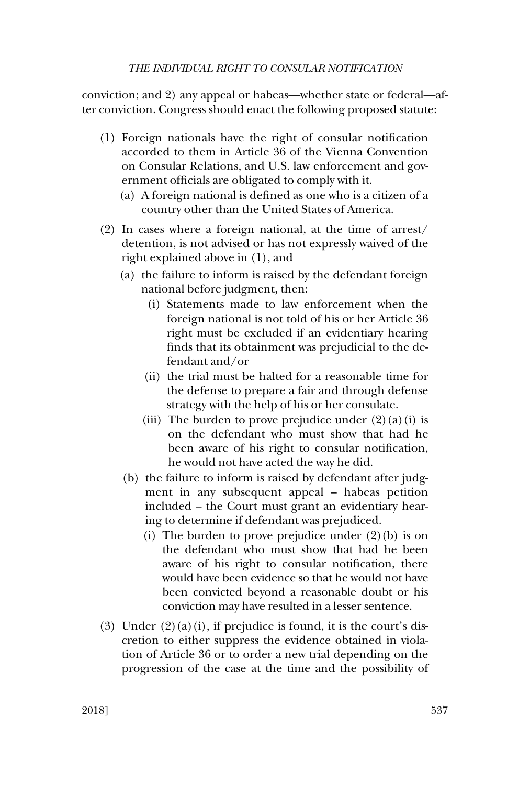conviction; and 2) any appeal or habeas—whether state or federal—after conviction. Congress should enact the following proposed statute:

- (1) Foreign nationals have the right of consular notification accorded to them in Article 36 of the Vienna Convention on Consular Relations, and U.S. law enforcement and government officials are obligated to comply with it.
	- (a) A foreign national is defined as one who is a citizen of a country other than the United States of America.
- (2) In cases where a foreign national, at the time of arrest/ detention, is not advised or has not expressly waived of the right explained above in (1), and
	- (a) the failure to inform is raised by the defendant foreign national before judgment, then:
		- (i) Statements made to law enforcement when the foreign national is not told of his or her Article 36 right must be excluded if an evidentiary hearing finds that its obtainment was prejudicial to the defendant and/or
		- (ii) the trial must be halted for a reasonable time for the defense to prepare a fair and through defense strategy with the help of his or her consulate.
		- (iii) The burden to prove prejudice under  $(2)(a)(i)$  is on the defendant who must show that had he been aware of his right to consular notification, he would not have acted the way he did.
	- (b) the failure to inform is raised by defendant after judgment in any subsequent appeal – habeas petition included – the Court must grant an evidentiary hearing to determine if defendant was prejudiced.
		- (i) The burden to prove prejudice under  $(2)(b)$  is on the defendant who must show that had he been aware of his right to consular notification, there would have been evidence so that he would not have been convicted beyond a reasonable doubt or his conviction may have resulted in a lesser sentence.
- (3) Under  $(2)(a)(i)$ , if prejudice is found, it is the court's discretion to either suppress the evidence obtained in violation of Article 36 or to order a new trial depending on the progression of the case at the time and the possibility of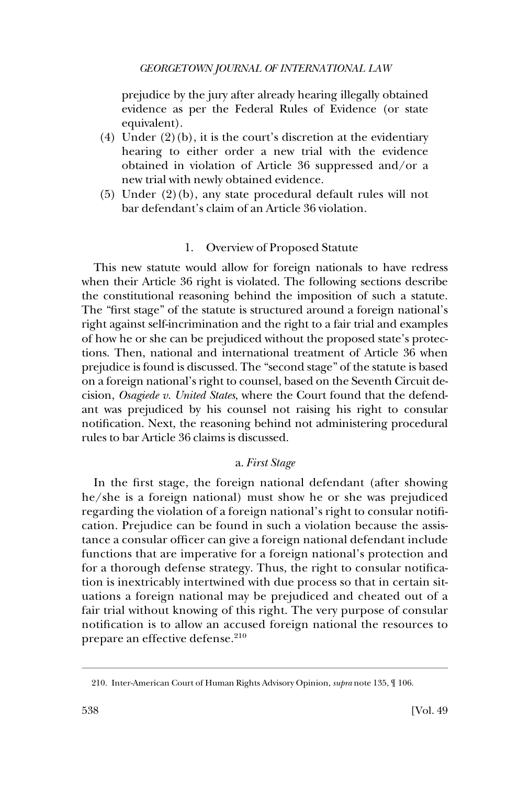<span id="page-37-0"></span>prejudice by the jury after already hearing illegally obtained evidence as per the Federal Rules of Evidence (or state equivalent).

- (4) Under  $(2)(b)$ , it is the court's discretion at the evidentiary hearing to either order a new trial with the evidence obtained in violation of Article 36 suppressed and/or a new trial with newly obtained evidence.
- (5) Under (2)(b), any state procedural default rules will not bar defendant's claim of an Article 36 violation.

## 1. Overview of Proposed Statute

This new statute would allow for foreign nationals to have redress when their Article 36 right is violated. The following sections describe the constitutional reasoning behind the imposition of such a statute. The "first stage" of the statute is structured around a foreign national's right against self-incrimination and the right to a fair trial and examples of how he or she can be prejudiced without the proposed state's protections. Then, national and international treatment of Article 36 when prejudice is found is discussed. The "second stage" of the statute is based on a foreign national's right to counsel, based on the Seventh Circuit decision, *Osagiede v. United States*, where the Court found that the defendant was prejudiced by his counsel not raising his right to consular notification. Next, the reasoning behind not administering procedural rules to bar Article 36 claims is discussed.

## a. *First Stage*

In the first stage, the foreign national defendant (after showing he/she is a foreign national) must show he or she was prejudiced regarding the violation of a foreign national's right to consular notification. Prejudice can be found in such a violation because the assistance a consular officer can give a foreign national defendant include functions that are imperative for a foreign national's protection and for a thorough defense strategy. Thus, the right to consular notification is inextricably intertwined with due process so that in certain situations a foreign national may be prejudiced and cheated out of a fair trial without knowing of this right. The very purpose of consular notification is to allow an accused foreign national the resources to prepare an effective defense.<sup>210</sup>

<sup>210.</sup> Inter-American Court of Human Rights Advisory Opinion, *supra* note 135, ¶ 106.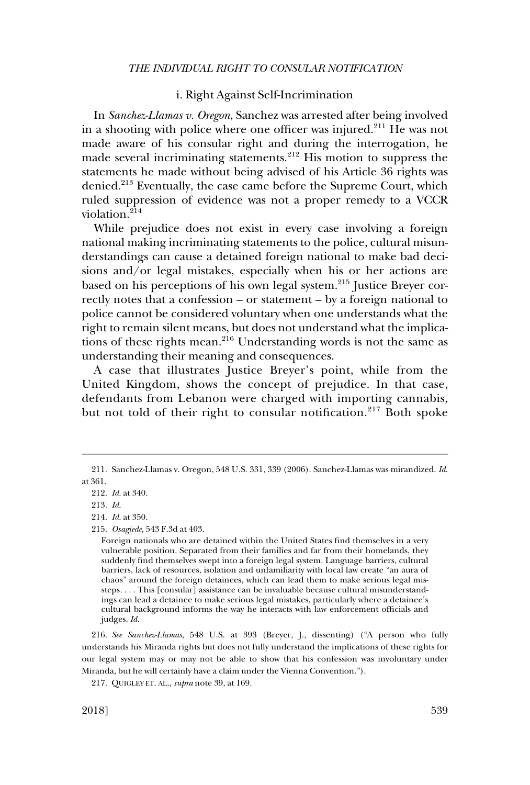## i. Right Against Self-Incrimination

<span id="page-38-0"></span>In *Sanchez-Llamas v. Oregon*, Sanchez was arrested after being involved in a shooting with police where one officer was injured.211 He was not made aware of his consular right and during the interrogation, he made several incriminating statements.<sup>212</sup> His motion to suppress the statements he made without being advised of his Article 36 rights was denied.<sup>213</sup> Eventually, the case came before the Supreme Court, which ruled suppression of evidence was not a proper remedy to a VCCR violation.214

While prejudice does not exist in every case involving a foreign national making incriminating statements to the police, cultural misunderstandings can cause a detained foreign national to make bad decisions and/or legal mistakes, especially when his or her actions are based on his perceptions of his own legal system.215 Justice Breyer correctly notes that a confession – or statement – by a foreign national to police cannot be considered voluntary when one understands what the right to remain silent means, but does not understand what the implications of these rights mean.<sup>216</sup> Understanding words is not the same as understanding their meaning and consequences.

A case that illustrates Justice Breyer's point, while from the United Kingdom, shows the concept of prejudice. In that case, defendants from Lebanon were charged with importing cannabis, but not told of their right to consular notification.<sup>217</sup> Both spoke

216. *See Sanchez-Llamas*, 548 U.S. at 393 (Breyer, J., dissenting) ("A person who fully understands his Miranda rights but does not fully understand the implications of these rights for our legal system may or may not be able to show that his confession was involuntary under Miranda, but he will certainly have a claim under the Vienna Convention.").

<sup>211.</sup> Sanchez-Llamas v. Oregon, 548 U.S. 331, 339 (2006). Sanchez-Llamas was mirandized. *Id*. at 361.

<sup>212.</sup> *Id*. at 340.

<sup>213.</sup> *Id*.

<sup>214.</sup> *Id*. at 350.

<sup>215.</sup> *Osagiede*, 543 F.3d at 403.

Foreign nationals who are detained within the United States find themselves in a very vulnerable position. Separated from their families and far from their homelands, they suddenly find themselves swept into a foreign legal system. Language barriers, cultural barriers, lack of resources, isolation and unfamiliarity with local law create "an aura of chaos" around the foreign detainees, which can lead them to make serious legal missteps. . . . This [consular] assistance can be invaluable because cultural misunderstandings can lead a detainee to make serious legal mistakes, particularly where a detainee's cultural background informs the way he interacts with law enforcement officials and judges. *Id*.

<sup>217.</sup> QUIGLEY ET. AL., *supra* note 39, at 169.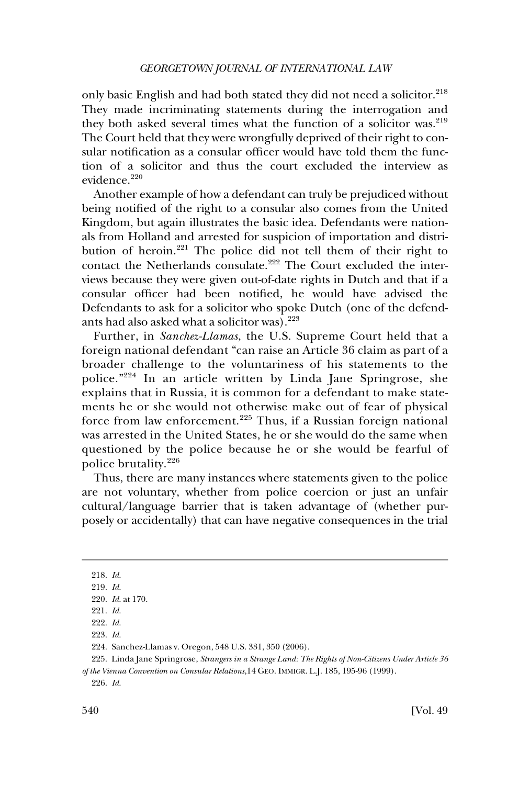only basic English and had both stated they did not need a solicitor.<sup>218</sup> They made incriminating statements during the interrogation and they both asked several times what the function of a solicitor was.<sup>219</sup> The Court held that they were wrongfully deprived of their right to consular notification as a consular officer would have told them the function of a solicitor and thus the court excluded the interview as evidence.<sup>220</sup>

Another example of how a defendant can truly be prejudiced without being notified of the right to a consular also comes from the United Kingdom, but again illustrates the basic idea. Defendants were nationals from Holland and arrested for suspicion of importation and distribution of heroin.<sup>221</sup> The police did not tell them of their right to contact the Netherlands consulate.<sup>222</sup> The Court excluded the interviews because they were given out-of-date rights in Dutch and that if a consular officer had been notified, he would have advised the Defendants to ask for a solicitor who spoke Dutch (one of the defendants had also asked what a solicitor was).<sup>223</sup>

Further, in *Sanchez-Llamas*, the U.S. Supreme Court held that a foreign national defendant "can raise an Article 36 claim as part of a broader challenge to the voluntariness of his statements to the police."224 In an article written by Linda Jane Springrose, she explains that in Russia, it is common for a defendant to make statements he or she would not otherwise make out of fear of physical force from law enforcement.<sup>225</sup> Thus, if a Russian foreign national was arrested in the United States, he or she would do the same when questioned by the police because he or she would be fearful of police brutality.<sup>226</sup>

Thus, there are many instances where statements given to the police are not voluntary, whether from police coercion or just an unfair cultural/language barrier that is taken advantage of (whether purposely or accidentally) that can have negative consequences in the trial

223. *Id*.

<sup>218.</sup> *Id*.

<sup>219.</sup> *Id*.

<sup>220.</sup> *Id*. at 170.

<sup>221.</sup> *Id*.

<sup>222.</sup> *Id*.

<sup>224.</sup> Sanchez-Llamas v. Oregon, 548 U.S. 331, 350 (2006).

<sup>225.</sup> Linda Jane Springrose, *Strangers in a Strange Land: The Rights of Non-Citizens Under Article 36 of the Vienna Convention on Consular Relations*,14 GEO. IMMIGR. L.J. 185, 195-96 (1999).

<sup>226.</sup> *Id*.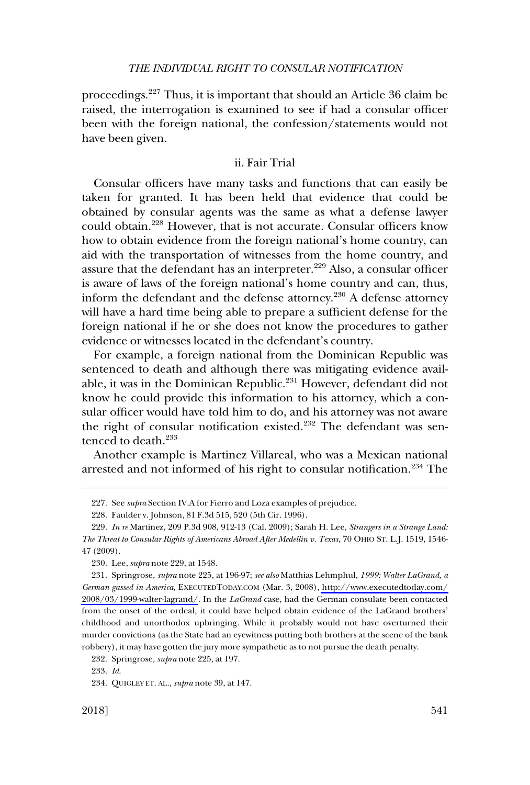<span id="page-40-0"></span>proceedings.227 Thus, it is important that should an Article 36 claim be raised, the interrogation is examined to see if had a consular officer been with the foreign national, the confession/statements would not have been given.

## ii. Fair Trial

Consular officers have many tasks and functions that can easily be taken for granted. It has been held that evidence that could be obtained by consular agents was the same as what a defense lawyer could obtain.228 However, that is not accurate. Consular officers know how to obtain evidence from the foreign national's home country, can aid with the transportation of witnesses from the home country, and assure that the defendant has an interpreter.<sup>229</sup> Also, a consular officer is aware of laws of the foreign national's home country and can, thus, inform the defendant and the defense attorney.<sup>230</sup> A defense attorney will have a hard time being able to prepare a sufficient defense for the foreign national if he or she does not know the procedures to gather evidence or witnesses located in the defendant's country.

For example, a foreign national from the Dominican Republic was sentenced to death and although there was mitigating evidence available, it was in the Dominican Republic.<sup>231</sup> However, defendant did not know he could provide this information to his attorney, which a consular officer would have told him to do, and his attorney was not aware the right of consular notification existed.<sup>232</sup> The defendant was sentenced to death.233

Another example is Martinez Villareal, who was a Mexican national arrested and not informed of his right to consular notification.234 The

230. Lee, *supra* note 229, at 1548.

<sup>227.</sup> See *supra* Section IV.A for Fierro and Loza examples of prejudice.

<sup>228.</sup> Faulder v. Johnson, 81 F.3d 515, 520 (5th Cir. 1996).

<sup>229.</sup> *In re* Martinez, 209 P.3d 908, 912-13 (Cal. 2009); Sarah H. Lee, *Strangers in a Strange Land: The Threat to Consular Rights of Americans Abroad After Medellin v. Texas*, 70 OHIO ST. L.J. 1519, 1546- 47 (2009).

Springrose*, supra* note 225, at 196-97; *see also* Matthias Lehmphul, *1999: Walter LaGrand, a*  231. *German gassed in America*, EXECUTEDTODAY.COM (Mar. 3, 2008), [http://www.executedtoday.com/](http://www.executedtoday.com/2008/03/1999-walter-lagrand/) [2008/03/1999-walter-lagrand/](http://www.executedtoday.com/2008/03/1999-walter-lagrand/). In the *LaGrand* case, had the German consulate been contacted from the onset of the ordeal, it could have helped obtain evidence of the LaGrand brothers' childhood and unorthodox upbringing. While it probably would not have overturned their murder convictions (as the State had an eyewitness putting both brothers at the scene of the bank robbery), it may have gotten the jury more sympathetic as to not pursue the death penalty.

<sup>232.</sup> Springrose*, supra* note 225, at 197.

<sup>233.</sup> *Id*.

<sup>234.</sup> QUIGLEY ET. AL., *supra* note 39, at 147.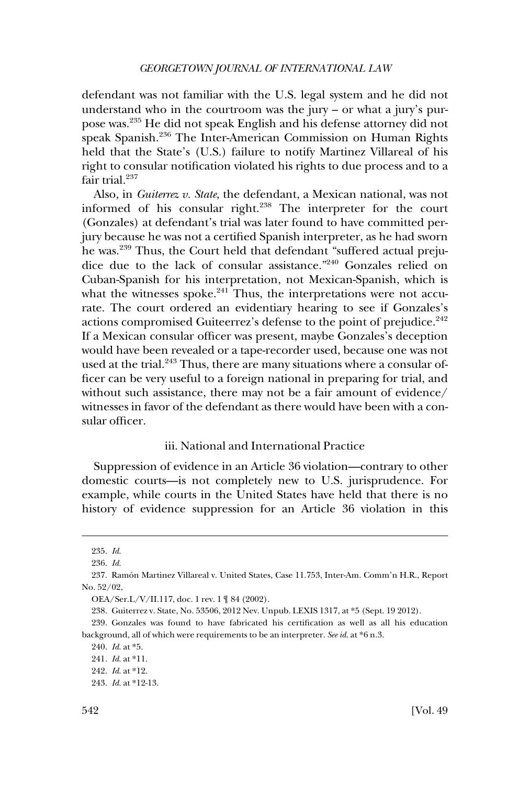<span id="page-41-0"></span>defendant was not familiar with the U.S. legal system and he did not understand who in the courtroom was the jury – or what a jury's purpose was.235 He did not speak English and his defense attorney did not speak Spanish.<sup>236</sup> The Inter-American Commission on Human Rights held that the State's (U.S.) failure to notify Martinez Villareal of his right to consular notification violated his rights to due process and to a fair trial. $237$ 

Also, in *Guiterrez v. State*, the defendant, a Mexican national, was not informed of his consular right.<sup>238</sup> The interpreter for the court (Gonzales) at defendant's trial was later found to have committed perjury because he was not a certified Spanish interpreter, as he had sworn he was.239 Thus, the Court held that defendant "suffered actual prejudice due to the lack of consular assistance."240 Gonzales relied on Cuban-Spanish for his interpretation, not Mexican-Spanish, which is what the witnesses spoke. $241$  Thus, the interpretations were not accurate. The court ordered an evidentiary hearing to see if Gonzales's actions compromised Guiteerrez's defense to the point of prejudice.<sup>242</sup> If a Mexican consular officer was present, maybe Gonzales's deception would have been revealed or a tape-recorder used, because one was not used at the trial.<sup>243</sup> Thus, there are many situations where a consular officer can be very useful to a foreign national in preparing for trial, and without such assistance, there may not be a fair amount of evidence/ witnesses in favor of the defendant as there would have been with a consular officer.

## iii. National and International Practice

Suppression of evidence in an Article 36 violation—contrary to other domestic courts—is not completely new to U.S. jurisprudence. For example, while courts in the United States have held that there is no history of evidence suppression for an Article 36 violation in this

<sup>235.</sup> *Id*.

<sup>236.</sup> *Id*.

<sup>237.</sup> Ramo´n Martinez Villareal v. United States, Case 11.753, Inter-Am. Comm'n H.R., Report No. 52/02,

OEA/Ser.L/V/II.117, doc. 1 rev. 1 ¶ 84 (2002).

<sup>238.</sup> Guiterrez v. State, No. 53506, 2012 Nev. Unpub. LEXIS 1317, at \*5 (Sept. 19 2012).

<sup>239.</sup> Gonzales was found to have fabricated his certification as well as all his education background, all of which were requirements to be an interpreter. *See id*. at \*6 n.3.

<sup>240.</sup> *Id*. at \*5.

<sup>241.</sup> *Id*. at \*11.

<sup>242.</sup> *Id*. at \*12.

<sup>243.</sup> *Id*. at \*12-13.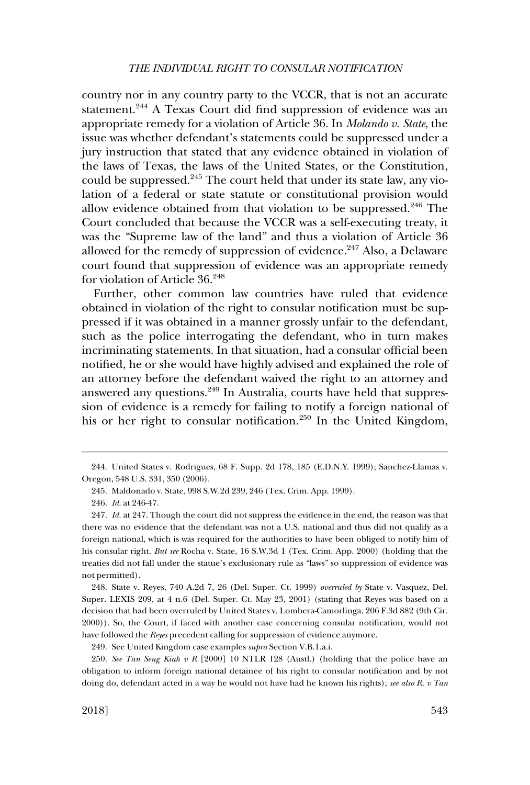country nor in any country party to the VCCR, that is not an accurate statement.<sup>244</sup> A Texas Court did find suppression of evidence was an appropriate remedy for a violation of Article 36. In *Molando v. State*, the issue was whether defendant's statements could be suppressed under a jury instruction that stated that any evidence obtained in violation of the laws of Texas, the laws of the United States, or the Constitution, could be suppressed.<sup>245</sup> The court held that under its state law, any violation of a federal or state statute or constitutional provision would allow evidence obtained from that violation to be suppressed.<sup>246</sup> The Court concluded that because the VCCR was a self-executing treaty, it was the "Supreme law of the land" and thus a violation of Article 36 allowed for the remedy of suppression of evidence.<sup>247</sup> Also, a Delaware court found that suppression of evidence was an appropriate remedy for violation of Article 36.<sup>248</sup>

Further, other common law countries have ruled that evidence obtained in violation of the right to consular notification must be suppressed if it was obtained in a manner grossly unfair to the defendant, such as the police interrogating the defendant, who in turn makes incriminating statements. In that situation, had a consular official been notified, he or she would have highly advised and explained the role of an attorney before the defendant waived the right to an attorney and answered any questions.<sup>249</sup> In Australia, courts have held that suppression of evidence is a remedy for failing to notify a foreign national of his or her right to consular notification.<sup>250</sup> In the United Kingdom,

248. State v. Reyes, 740 A.2d 7, 26 (Del. Super. Ct. 1999) *overruled by* State v. Vasquez, Del. Super. LEXIS 209, at 4 n.6 (Del. Super. Ct. May 23, 2001) (stating that Reyes was based on a decision that had been overruled by United States v. Lombera-Camorlinga, 206 F.3d 882 (9th Cir. 2000)). So, the Court, if faced with another case concerning consular notification, would not have followed the *Reyes* precedent calling for suppression of evidence anymore.

249. See United Kingdom case examples *supra* Section V.B.1.a.i.

250. *See Tan Seng Kiah v R* [2000] 10 NTLR 128 (Austl.) (holding that the police have an obligation to inform foreign national detainee of his right to consular notification and by not doing do, defendant acted in a way he would not have had he known his rights); *see also R. v Tan* 

<sup>244.</sup> United States v. Rodrigues, 68 F. Supp. 2d 178, 185 (E.D.N.Y. 1999); Sanchez-Llamas v. Oregon, 548 U.S. 331, 350 (2006).

<sup>245.</sup> Maldonado v. State, 998 S.W.2d 239, 246 (Tex. Crim. App. 1999).

<sup>246.</sup> *Id*. at 246-47.

<sup>247.</sup> *Id*. at 247. Though the court did not suppress the evidence in the end, the reason was that there was no evidence that the defendant was not a U.S. national and thus did not qualify as a foreign national, which is was required for the authorities to have been obliged to notify him of his consular right. *But see* Rocha v. State, 16 S.W.3d 1 (Tex. Crim. App. 2000) (holding that the treaties did not fall under the statue's exclusionary rule as "laws" so suppression of evidence was not permitted).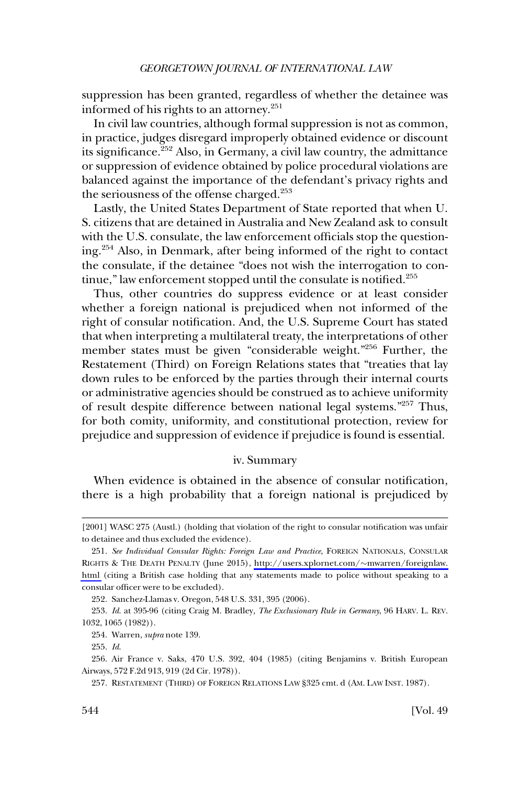<span id="page-43-0"></span>suppression has been granted, regardless of whether the detainee was informed of his rights to an attorney.<sup>251</sup>

In civil law countries, although formal suppression is not as common, in practice, judges disregard improperly obtained evidence or discount its significance.<sup>252</sup> Also, in Germany, a civil law country, the admittance or suppression of evidence obtained by police procedural violations are balanced against the importance of the defendant's privacy rights and the seriousness of the offense charged.<sup>253</sup>

Lastly, the United States Department of State reported that when U. S. citizens that are detained in Australia and New Zealand ask to consult with the U.S. consulate, the law enforcement officials stop the questioning.254 Also, in Denmark, after being informed of the right to contact the consulate, if the detainee "does not wish the interrogation to continue," law enforcement stopped until the consulate is notified. $255$ 

Thus, other countries do suppress evidence or at least consider whether a foreign national is prejudiced when not informed of the right of consular notification. And, the U.S. Supreme Court has stated that when interpreting a multilateral treaty, the interpretations of other member states must be given "considerable weight."256 Further, the Restatement (Third) on Foreign Relations states that "treaties that lay down rules to be enforced by the parties through their internal courts or administrative agencies should be construed as to achieve uniformity of result despite difference between national legal systems."257 Thus, for both comity, uniformity, and constitutional protection, review for prejudice and suppression of evidence if prejudice is found is essential.

### iv. Summary

When evidence is obtained in the absence of consular notification, there is a high probability that a foreign national is prejudiced by

<sup>[2001]</sup> WASC 275 (Austl.) (holding that violation of the right to consular notification was unfair to detainee and thus excluded the evidence).

<sup>251.</sup> See Individual Consular Rights: Foreign Law and Practice, FOREIGN NATIONALS, CONSULAR RIGHTS & THE DEATH PENALTY (June 2015), [http://users.xplornet.com/](http://users.xplornet.com/~mwarren/foreignlaw.html)�mwarren/foreignlaw. [html](http://users.xplornet.com/~mwarren/foreignlaw.html) (citing a British case holding that any statements made to police without speaking to a consular officer were to be excluded).

<sup>252.</sup> Sanchez-Llamas v. Oregon, 548 U.S. 331, 395 (2006).

<sup>253.</sup> *Id*. at 395-96 (citing Craig M. Bradley*, The Exclusionary Rule in Germany*, 96 HARV. L. REV. 1032, 1065 (1982)).

<sup>254.</sup> Warren, *supra* note 139.

<sup>255.</sup> *Id*.

<sup>256.</sup> Air France v. Saks, 470 U.S. 392, 404 (1985) (citing Benjamins v. British European Airways, 572 F.2d 913, 919 (2d Cir. 1978)).

<sup>257.</sup> RESTATEMENT (THIRD) OF FOREIGN RELATIONS LAW §325 cmt. d (AM. LAW INST. 1987).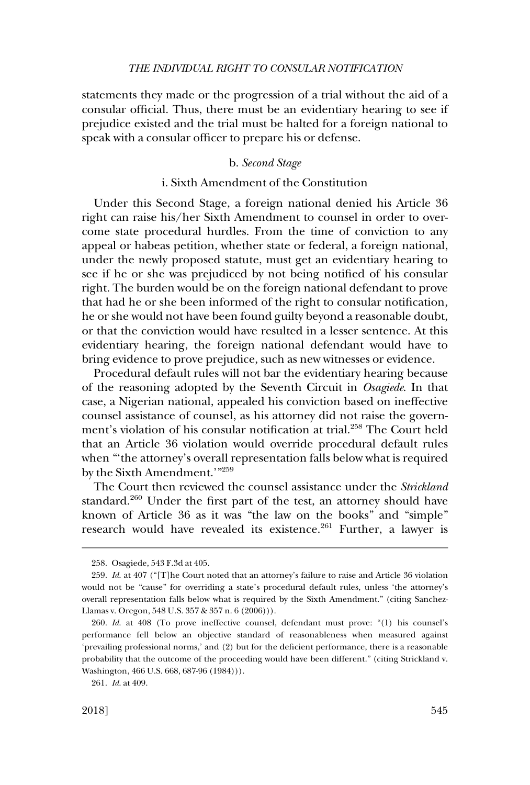<span id="page-44-0"></span>statements they made or the progression of a trial without the aid of a consular official. Thus, there must be an evidentiary hearing to see if prejudice existed and the trial must be halted for a foreign national to speak with a consular officer to prepare his or defense.

## b. *Second Stage*

## i. Sixth Amendment of the Constitution

Under this Second Stage, a foreign national denied his Article 36 right can raise his/her Sixth Amendment to counsel in order to overcome state procedural hurdles. From the time of conviction to any appeal or habeas petition, whether state or federal, a foreign national, under the newly proposed statute, must get an evidentiary hearing to see if he or she was prejudiced by not being notified of his consular right. The burden would be on the foreign national defendant to prove that had he or she been informed of the right to consular notification, he or she would not have been found guilty beyond a reasonable doubt, or that the conviction would have resulted in a lesser sentence. At this evidentiary hearing, the foreign national defendant would have to bring evidence to prove prejudice, such as new witnesses or evidence.

Procedural default rules will not bar the evidentiary hearing because of the reasoning adopted by the Seventh Circuit in *Osagiede*. In that case, a Nigerian national, appealed his conviction based on ineffective counsel assistance of counsel, as his attorney did not raise the government's violation of his consular notification at trial.<sup>258</sup> The Court held that an Article 36 violation would override procedural default rules when "'the attorney's overall representation falls below what is required by the Sixth Amendment.'"259

The Court then reviewed the counsel assistance under the *Strickland*  standard.<sup>260</sup> Under the first part of the test, an attorney should have known of Article 36 as it was "the law on the books" and "simple" research would have revealed its existence.<sup>261</sup> Further, a lawyer is

<sup>258.</sup> Osagiede, 543 F.3d at 405.

<sup>259.</sup> *Id*. at 407 ("[T]he Court noted that an attorney's failure to raise and Article 36 violation would not be "cause" for overriding a state's procedural default rules, unless 'the attorney's overall representation falls below what is required by the Sixth Amendment." (citing Sanchez-Llamas v. Oregon, 548 U.S. 357 & 357 n. 6 (2006))).

<sup>260.</sup> *Id*. at 408 (To prove ineffective counsel, defendant must prove: "(1) his counsel's performance fell below an objective standard of reasonableness when measured against 'prevailing professional norms,' and (2) but for the deficient performance, there is a reasonable probability that the outcome of the proceeding would have been different." (citing Strickland v. Washington, 466 U.S. 668, 687-96 (1984))).

<sup>261.</sup> *Id*. at 409.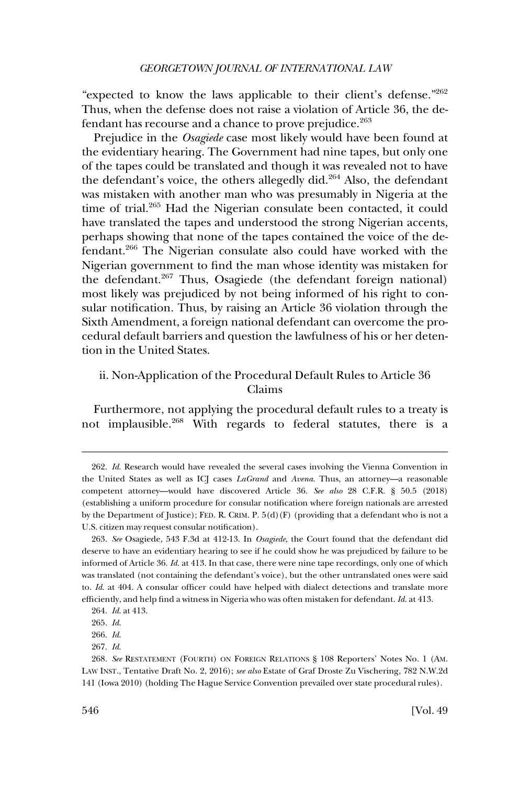<span id="page-45-0"></span>"expected to know the laws applicable to their client's defense."<sup>262</sup> Thus, when the defense does not raise a violation of Article 36, the defendant has recourse and a chance to prove prejudice.<sup>263</sup>

Prejudice in the *Osagiede* case most likely would have been found at the evidentiary hearing. The Government had nine tapes, but only one of the tapes could be translated and though it was revealed not to have the defendant's voice, the others allegedly did.<sup>264</sup> Also, the defendant was mistaken with another man who was presumably in Nigeria at the time of trial.<sup>265</sup> Had the Nigerian consulate been contacted, it could have translated the tapes and understood the strong Nigerian accents, perhaps showing that none of the tapes contained the voice of the defendant.266 The Nigerian consulate also could have worked with the Nigerian government to find the man whose identity was mistaken for the defendant.<sup>267</sup> Thus, Osagiede (the defendant foreign national) most likely was prejudiced by not being informed of his right to consular notification. Thus, by raising an Article 36 violation through the Sixth Amendment, a foreign national defendant can overcome the procedural default barriers and question the lawfulness of his or her detention in the United States.

## ii. Non-Application of the Procedural Default Rules to Article 36 Claims

Furthermore, not applying the procedural default rules to a treaty is not implausible.268 With regards to federal statutes, there is a

<sup>262.</sup> *Id*. Research would have revealed the several cases involving the Vienna Convention in the United States as well as ICJ cases *LaGrand* and *Avena*. Thus, an attorney—a reasonable competent attorney—would have discovered Article 36. *See also* 28 C.F.R. § 50.5 (2018) (establishing a uniform procedure for consular notification where foreign nationals are arrested by the Department of Justice); FED. R. CRIM. P. 5(d)(F) (providing that a defendant who is not a U.S. citizen may request consular notification).

<sup>263.</sup> *See* Osagiede, 543 F.3d at 412-13. In *Osagiede*, the Court found that the defendant did deserve to have an evidentiary hearing to see if he could show he was prejudiced by failure to be informed of Article 36. *Id*. at 413. In that case, there were nine tape recordings, only one of which was translated (not containing the defendant's voice), but the other untranslated ones were said to. *Id*. at 404. A consular officer could have helped with dialect detections and translate more efficiently, and help find a witness in Nigeria who was often mistaken for defendant. *Id*. at 413.

<sup>264.</sup> *Id*. at 413.

<sup>265.</sup> *Id*.

<sup>266.</sup> *Id*.

<sup>267.</sup> *Id*.

<sup>268.</sup> *See* RESTATEMENT (FOURTH) ON FOREIGN RELATIONS § 108 Reporters' Notes No. 1 (AM. LAW INST., Tentative Draft No. 2, 2016); *see also* Estate of Graf Droste Zu Vischering, 782 N.W.2d 141 (Iowa 2010) (holding The Hague Service Convention prevailed over state procedural rules).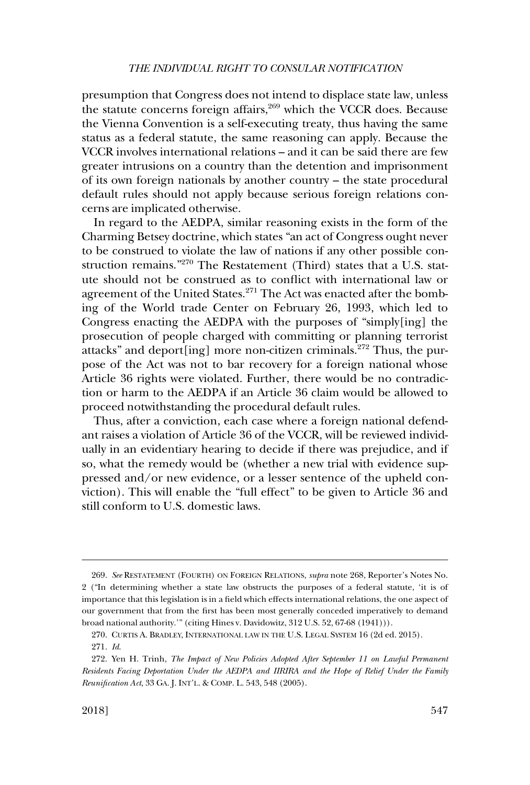presumption that Congress does not intend to displace state law, unless the statute concerns foreign affairs, $269$  which the VCCR does. Because the Vienna Convention is a self-executing treaty, thus having the same status as a federal statute, the same reasoning can apply. Because the VCCR involves international relations – and it can be said there are few greater intrusions on a country than the detention and imprisonment of its own foreign nationals by another country – the state procedural default rules should not apply because serious foreign relations concerns are implicated otherwise.

In regard to the AEDPA, similar reasoning exists in the form of the Charming Betsey doctrine, which states "an act of Congress ought never to be construed to violate the law of nations if any other possible construction remains."270 The Restatement (Third) states that a U.S. statute should not be construed as to conflict with international law or agreement of the United States.<sup>271</sup> The Act was enacted after the bombing of the World trade Center on February 26, 1993, which led to Congress enacting the AEDPA with the purposes of "simply[ing] the prosecution of people charged with committing or planning terrorist attacks" and deport[ing] more non-citizen criminals.<sup>272</sup> Thus, the purpose of the Act was not to bar recovery for a foreign national whose Article 36 rights were violated. Further, there would be no contradiction or harm to the AEDPA if an Article 36 claim would be allowed to proceed notwithstanding the procedural default rules.

Thus, after a conviction, each case where a foreign national defendant raises a violation of Article 36 of the VCCR, will be reviewed individually in an evidentiary hearing to decide if there was prejudice, and if so, what the remedy would be (whether a new trial with evidence suppressed and/or new evidence, or a lesser sentence of the upheld conviction). This will enable the "full effect" to be given to Article 36 and still conform to U.S. domestic laws.

<sup>269.</sup> *See* RESTATEMENT (FOURTH) ON FOREIGN RELATIONS, *supra* note 268, Reporter's Notes No. 2 ("In determining whether a state law obstructs the purposes of a federal statute, 'it is of importance that this legislation is in a field which effects international relations, the one aspect of our government that from the first has been most generally conceded imperatively to demand broad national authority.'" (citing Hines v. Davidowitz, 312 U.S. 52, 67-68 (1941))).

<sup>270.</sup> CURTIS A. BRADLEY, INTERNATIONAL LAW IN THE U.S. LEGAL SYSTEM 16 (2d ed. 2015). 271. *Id*.

<sup>272.</sup> Yen H. Trinh, *The Impact of New Policies Adopted After September 11 on Lawful Permanent Residents Facing Deportation Under the AEDPA and IIRIRA and the Hope of Relief Under the Family Reunification Act*, 33 GA. J. INT'L. & COMP. L. 543, 548 (2005).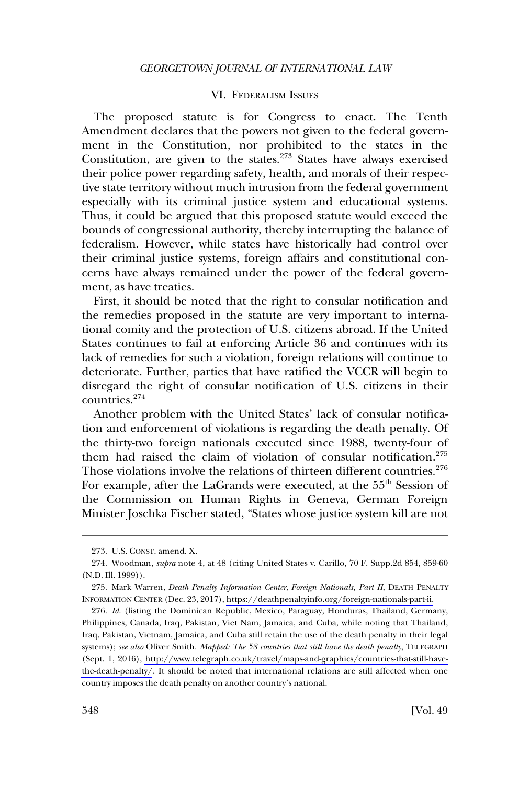## VI. FEDERALISM ISSUES

<span id="page-47-0"></span>The proposed statute is for Congress to enact. The Tenth Amendment declares that the powers not given to the federal government in the Constitution, nor prohibited to the states in the Constitution, are given to the states.<sup>273</sup> States have always exercised their police power regarding safety, health, and morals of their respective state territory without much intrusion from the federal government especially with its criminal justice system and educational systems. Thus, it could be argued that this proposed statute would exceed the bounds of congressional authority, thereby interrupting the balance of federalism. However, while states have historically had control over their criminal justice systems, foreign affairs and constitutional concerns have always remained under the power of the federal government, as have treaties.

First, it should be noted that the right to consular notification and the remedies proposed in the statute are very important to international comity and the protection of U.S. citizens abroad. If the United States continues to fail at enforcing Article 36 and continues with its lack of remedies for such a violation, foreign relations will continue to deteriorate. Further, parties that have ratified the VCCR will begin to disregard the right of consular notification of U.S. citizens in their countries.274

Another problem with the United States' lack of consular notification and enforcement of violations is regarding the death penalty. Of the thirty-two foreign nationals executed since 1988, twenty-four of them had raised the claim of violation of consular notification.<sup>275</sup> Those violations involve the relations of thirteen different countries.<sup>276</sup> For example, after the LaGrands were executed, at the 55<sup>th</sup> Session of the Commission on Human Rights in Geneva, German Foreign Minister Joschka Fischer stated, "States whose justice system kill are not

<sup>273.</sup> U.S. CONST. amend. X.

<sup>274.</sup> Woodman, *supra* note 4, at 48 (citing United States v. Carillo, 70 F. Supp.2d 854, 859-60 (N.D. Ill. 1999)).

<sup>275.</sup> Mark Warren, *Death Penalty Information Center, Foreign Nationals, Part II*, DEATH PENALTY INFORMATION CENTER (Dec. 23, 2017), [https://deathpenaltyinfo.org/foreign-nationals-part-ii.](https://deathpenaltyinfo.org/foreign-nationals-part-ii)

<sup>276.</sup> *Id*. (listing the Dominican Republic, Mexico, Paraguay, Honduras, Thailand, Germany, Philippines, Canada, Iraq, Pakistan, Viet Nam, Jamaica, and Cuba, while noting that Thailand, Iraq, Pakistan, Vietnam, Jamaica, and Cuba still retain the use of the death penalty in their legal systems); *see also* Oliver Smith. *Mapped: The 58 countries that still have the death penalty*, TELEGRAPH (Sept. 1, 2016), [http://www.telegraph.co.uk/travel/maps-and-graphics/countries-that-still-have](http://www.telegraph.co.uk/travel/maps-and-graphics/countries-that-still-have-the-death-penalty/)[the-death-penalty/](http://www.telegraph.co.uk/travel/maps-and-graphics/countries-that-still-have-the-death-penalty/). It should be noted that international relations are still affected when one country imposes the death penalty on another country's national.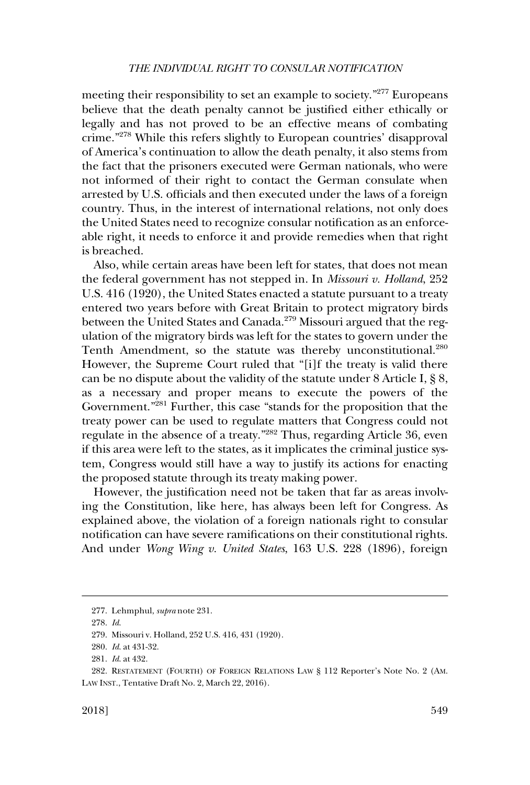meeting their responsibility to set an example to society."277 Europeans believe that the death penalty cannot be justified either ethically or legally and has not proved to be an effective means of combating crime."278 While this refers slightly to European countries' disapproval of America's continuation to allow the death penalty, it also stems from the fact that the prisoners executed were German nationals, who were not informed of their right to contact the German consulate when arrested by U.S. officials and then executed under the laws of a foreign country. Thus, in the interest of international relations, not only does the United States need to recognize consular notification as an enforceable right, it needs to enforce it and provide remedies when that right is breached.

Also, while certain areas have been left for states, that does not mean the federal government has not stepped in. In *Missouri v. Holland*, 252 U.S. 416 (1920), the United States enacted a statute pursuant to a treaty entered two years before with Great Britain to protect migratory birds between the United States and Canada.<sup>279</sup> Missouri argued that the regulation of the migratory birds was left for the states to govern under the Tenth Amendment, so the statute was thereby unconstitutional.<sup>280</sup> However, the Supreme Court ruled that "[i]f the treaty is valid there can be no dispute about the validity of the statute under 8 Article I, § 8, as a necessary and proper means to execute the powers of the Government."281 Further, this case "stands for the proposition that the treaty power can be used to regulate matters that Congress could not regulate in the absence of a treaty."282 Thus, regarding Article 36, even if this area were left to the states, as it implicates the criminal justice system, Congress would still have a way to justify its actions for enacting the proposed statute through its treaty making power.

However, the justification need not be taken that far as areas involving the Constitution, like here, has always been left for Congress. As explained above, the violation of a foreign nationals right to consular notification can have severe ramifications on their constitutional rights. And under *Wong Wing v. United States*, 163 U.S. 228 (1896), foreign

<sup>277.</sup> Lehmphul, *supra* note 231.

<sup>278.</sup> *Id*.

<sup>279.</sup> Missouri v. Holland, 252 U.S. 416, 431 (1920).

<sup>280.</sup> *Id*. at 431-32.

<sup>281.</sup> *Id*. at 432.

<sup>282.</sup> RESTATEMENT (FOURTH) OF FOREIGN RELATIONS LAW § 112 Reporter's Note No. 2 (AM. LAW INST., Tentative Draft No. 2, March 22, 2016).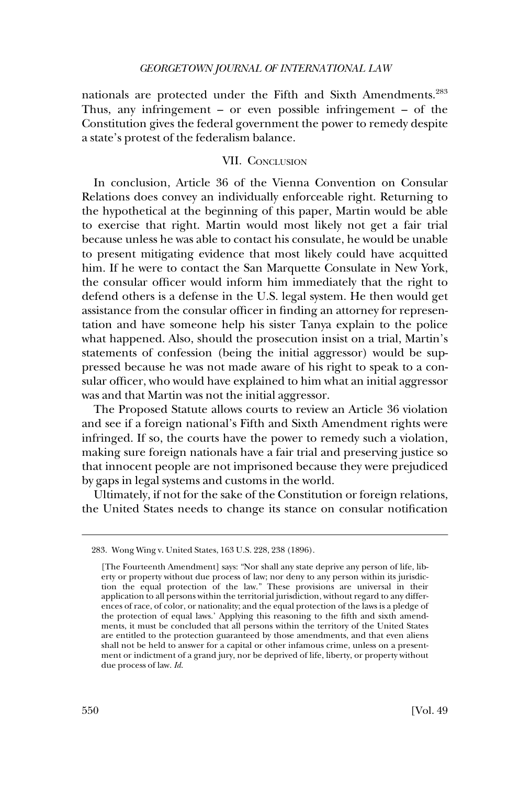<span id="page-49-0"></span>nationals are protected under the Fifth and Sixth Amendments.<sup>283</sup> Thus, any infringement – or even possible infringement – of the Constitution gives the federal government the power to remedy despite a state's protest of the federalism balance.

## VII. CONCLUSION

In conclusion, Article 36 of the Vienna Convention on Consular Relations does convey an individually enforceable right. Returning to the hypothetical at the beginning of this paper, Martin would be able to exercise that right. Martin would most likely not get a fair trial because unless he was able to contact his consulate, he would be unable to present mitigating evidence that most likely could have acquitted him. If he were to contact the San Marquette Consulate in New York, the consular officer would inform him immediately that the right to defend others is a defense in the U.S. legal system. He then would get assistance from the consular officer in finding an attorney for representation and have someone help his sister Tanya explain to the police what happened. Also, should the prosecution insist on a trial, Martin's statements of confession (being the initial aggressor) would be suppressed because he was not made aware of his right to speak to a consular officer, who would have explained to him what an initial aggressor was and that Martin was not the initial aggressor.

The Proposed Statute allows courts to review an Article 36 violation and see if a foreign national's Fifth and Sixth Amendment rights were infringed. If so, the courts have the power to remedy such a violation, making sure foreign nationals have a fair trial and preserving justice so that innocent people are not imprisoned because they were prejudiced by gaps in legal systems and customs in the world.

Ultimately, if not for the sake of the Constitution or foreign relations, the United States needs to change its stance on consular notification

<sup>283.</sup> Wong Wing v. United States, 163 U.S. 228, 238 (1896).

<sup>[</sup>The Fourteenth Amendment] says: "Nor shall any state deprive any person of life, liberty or property without due process of law; nor deny to any person within its jurisdiction the equal protection of the law." These provisions are universal in their application to all persons within the territorial jurisdiction, without regard to any differences of race, of color, or nationality; and the equal protection of the laws is a pledge of the protection of equal laws.' Applying this reasoning to the fifth and sixth amendments, it must be concluded that all persons within the territory of the United States are entitled to the protection guaranteed by those amendments, and that even aliens shall not be held to answer for a capital or other infamous crime, unless on a presentment or indictment of a grand jury, nor be deprived of life, liberty, or property without due process of law. *Id*.